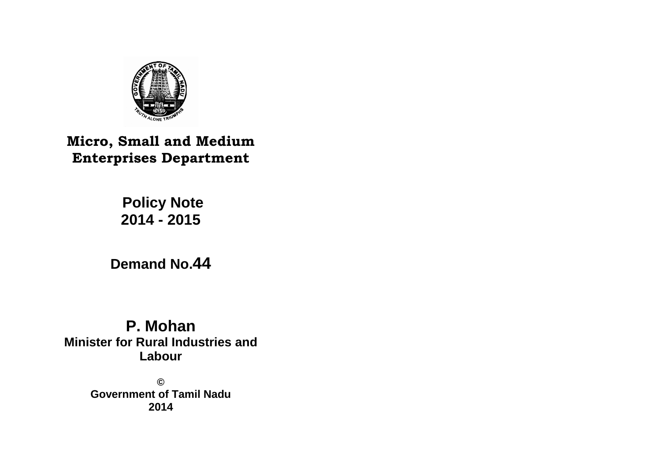

# **Micro, Small and Medium Enterprises Department**

# **Policy Note 2014 - 2015**

# **Demand No.44**

# **P. Mohan Minister for Rural Industries and Labour**

**© Government of Tamil Nadu 2014**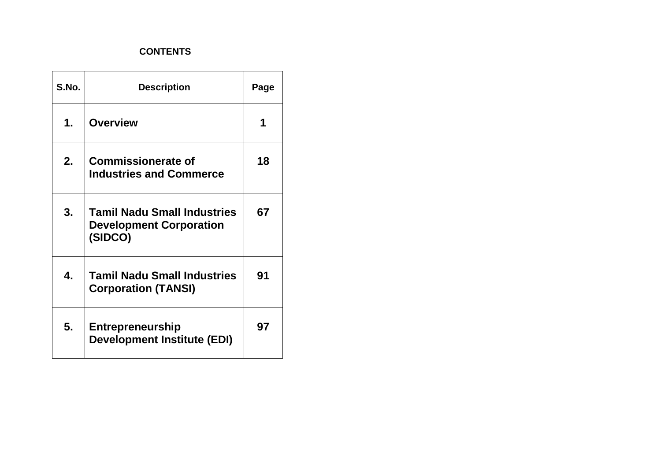# **CONTENTS**

| S.No. | <b>Description</b>                                                              | Page |
|-------|---------------------------------------------------------------------------------|------|
| 1.    | <b>Overview</b>                                                                 | 1    |
| 2.    | <b>Commissionerate of</b><br><b>Industries and Commerce</b>                     | 18   |
| 3.    | <b>Tamil Nadu Small Industries</b><br><b>Development Corporation</b><br>(SIDCO) | 67   |
| 4.    | <b>Tamil Nadu Small Industries</b><br><b>Corporation (TANSI)</b>                | 91   |
| 5.    | <b>Entrepreneurship</b><br><b>Development Institute (EDI)</b>                   | 97   |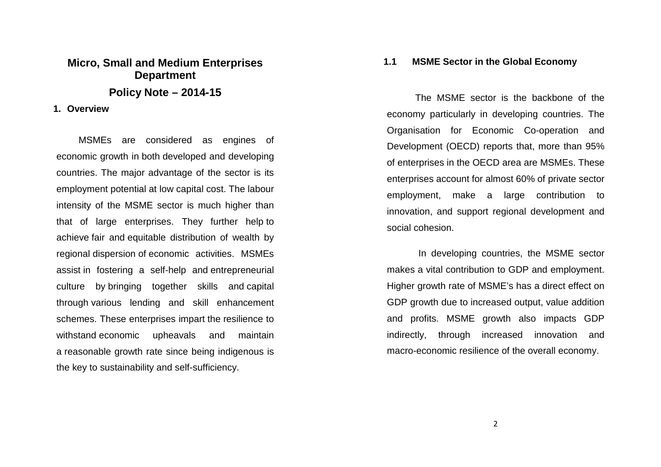# **Micro, Small and Medium Enterprises Department Policy Note – 2014-15**

#### **1. Overview**

MSMEs are considered as engines of economic growth in both developed and developing countries. The major advantage of the sector is itsemployment potential at low capital cost. The labour intensity of the MSME sector is much higher than that of large enterprises. They further help to achieve fair and equitable distribution of wealth by regional dispersion of economic activities. MSMEs assist in fostering a self-help and entrepreneurialculture by bringing together skills and capital through various lending and skill enhancement schemes. These enterprises impart the resilience towithstand economic upheavals and maintain a reasonable growth rate since being indigenous is the key to sustainability and self-sufficiency.

#### **1.1 MSME Sector in the Global Economy**

The MSME sector is the backbone of the economy particularly in developing countries. The Organisation for Economic Co-operation and Development (OECD) reports that, more than 95% of enterprises in the OECD area are MSMEs. These enterprises account for almost 60% of private sector employment, make a large contribution to innovation, and support regional development and social cohesion.

 In developing countries, the MSME sector makes a vital contribution to GDP and employment. Higher growth rate of MSME's has a direct effect onGDP growth due to increased output, value addition and profits. MSME growth also impacts GDP indirectly, through increased innovation and macro-economic resilience of the overall economy.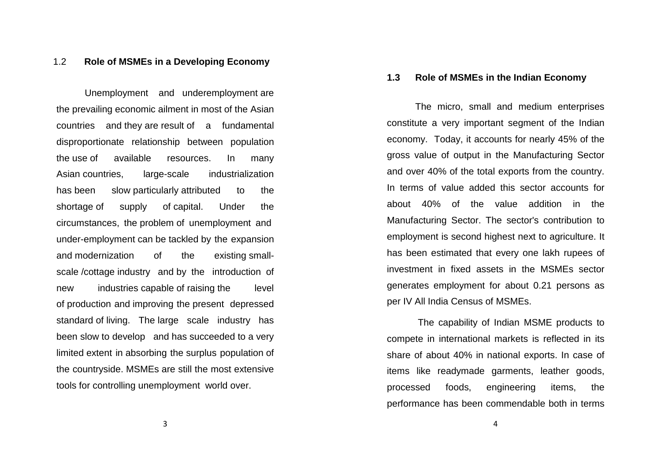## 1.2 **Role of MSMEs in a Developing Economy**

Unemployment and underemployment are the prevailing economic ailment in most of the Asian countries and they are result of a fundamental disproportionate relationship between population the use of available resources. In many Asian countries, large-scale industrialization has been slow particularly attributed to the shortage of supply of capital. Under the circumstances, the problem of unemployment and under-employment can be tackled by the expansion and modernization of the existing smallscale /cottage industry and by the introduction of new industries capable of raising the level of production and improving the present depressed standard of living. The large scale industry has been slow to develop and has succeeded to a very limited extent in absorbing the surplus population of the countryside. MSMEs are still the most extensivetools for controlling unemployment world over.

#### **1.3 Role of MSMEs in the Indian Economy**

The micro, small and medium enterprises constitute a very important segment of the Indian economy. Today, it accounts for nearly 45% of the gross value of output in the Manufacturing Sector and over 40% of the total exports from the country.In terms of value added this sector accounts for about 40% of the value addition in the Manufacturing Sector. The sector's contribution to employment is second highest next to agriculture. It has been estimated that every one lakh rupees of investment in fixed assets in the MSMEs sector generates employment for about 0.21 persons as per IV All India Census of MSMEs.

 The capability of Indian MSME products to compete in international markets is reflected in its share of about 40% in national exports. In case of items like readymade garments, leather goods, processed foods, engineering items, the performance has been commendable both in terms

3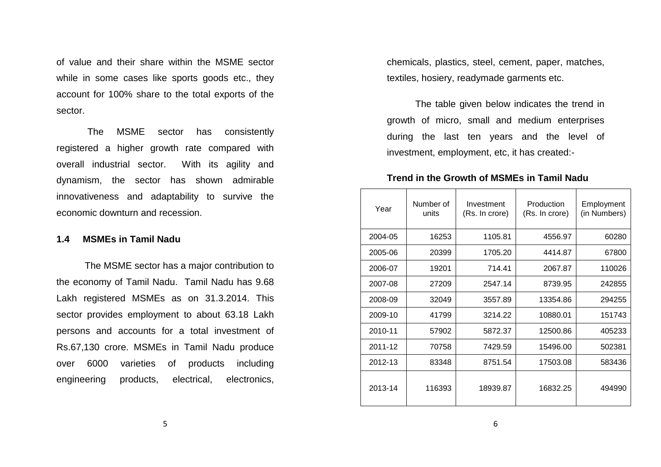of value and their share within the MSME sector while in some cases like sports goods etc., they account for 100% share to the total exports of the sector.

 The MSME sector has consistently registered a higher growth rate compared with overall industrial sector. With its agility and dynamism, the sector has shown admirable innovativeness and adaptability to survive the economic downturn and recession.

#### **1.4 MSMEs in Tamil Nadu**

 The MSME sector has a major contribution to the economy of Tamil Nadu. Tamil Nadu has 9.68 Lakh registered MSMEs as on 31.3.2014. This sector provides employment to about 63.18 Lakh persons and accounts for a total investment of Rs.67,130 crore. MSMEs in Tamil Nadu produce over 6000 varieties of products including engineering products, electrical, electronics,

chemicals, plastics, steel, cement, paper, matches,textiles, hosiery, readymade garments etc.

 The table given below indicates the trend in growth of micro, small and medium enterprises during the last ten years and the level of investment, employment, etc, it has created:-

### **Trend in the Growth of MSMEs in Tamil Nadu**

| Year    | Number of<br>units | Investment<br>(Rs. In crore) | Production<br>(Rs. In crore) | Employment<br>(in Numbers) |
|---------|--------------------|------------------------------|------------------------------|----------------------------|
| 2004-05 | 16253              | 1105.81                      | 4556.97                      | 60280                      |
| 2005-06 | 20399              | 1705.20                      | 4414.87                      | 67800                      |
| 2006-07 | 19201              | 714.41                       | 2067.87                      | 110026                     |
| 2007-08 | 27209              | 2547.14                      | 8739.95                      | 242855                     |
| 2008-09 | 32049              | 3557.89                      | 13354.86                     | 294255                     |
| 2009-10 | 41799              | 3214.22                      | 10880.01                     | 151743                     |
| 2010-11 | 57902              | 5872.37                      | 12500.86                     | 405233                     |
| 2011-12 | 70758              | 7429.59                      | 15496.00                     | 502381                     |
| 2012-13 | 83348              | 8751.54                      | 17503.08                     | 583436                     |
| 2013-14 | 116393             | 18939.87                     | 16832.25                     | 494990                     |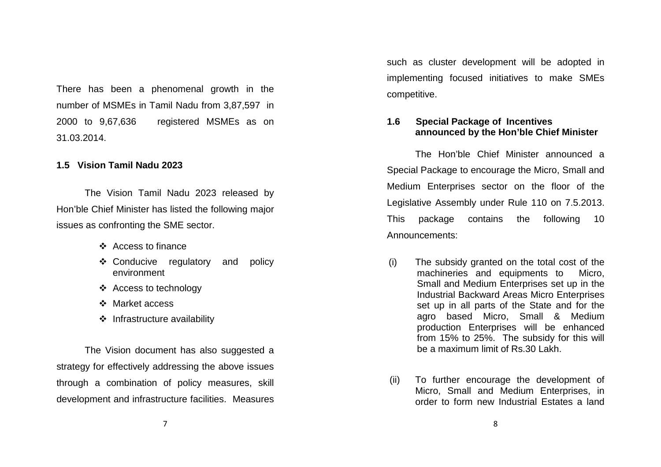There has been a phenomenal growth in the number of MSMEs in Tamil Nadu from 3,87,597 in 2000 to 9,67,636 registered MSMEs as on 31.03.2014.

#### **1.5 Vision Tamil Nadu 2023**

The Vision Tamil Nadu 2023 released by Hon'ble Chief Minister has listed the following major issues as confronting the SME sector.

- ❖ Access to finance
- Conducive regulatory and policy environment
- ❖ Access to technology
- ❖ Market access
- $\div$  Infrastructure availability

The Vision document has also suggested a strategy for effectively addressing the above issues through a combination of policy measures, skill development and infrastructure facilities. Measures

such as cluster development will be adopted in implementing focused initiatives to make SMEs competitive.

#### **1.6 Special Package of Incentives announced by the Hon'ble Chief Minister**

The Hon'ble Chief Minister announced a Special Package to encourage the Micro, Small and Medium Enterprises sector on the floor of the Legislative Assembly under Rule 110 on 7.5.2013. This package contains the following 10 Announcements:

- (i) The subsidy granted on the total cost of the machineries and equipments to Micro, Small and Medium Enterprises set up in the Industrial Backward Areas Micro Enterprises set up in all parts of the State and for the agro based Micro, Small & Medium production Enterprises will be enhanced from 15% to 25%. The subsidy for this will be a maximum limit of Rs.30 Lakh.
- (ii) To further encourage the development of Micro, Small and Medium Enterprises, in order to form new Industrial Estates a land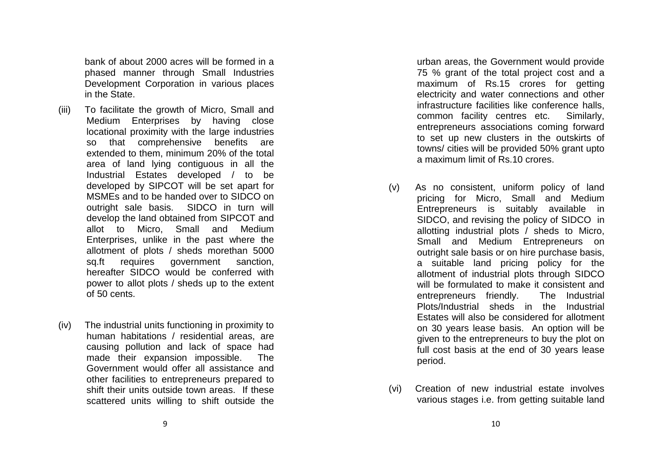bank of about 2000 acres will be formed in a phased manner through Small Industries Development Corporation in various places in the State.

- (iii) To facilitate the growth of Micro, Small and Medium Enterprises by having close locational proximity with the large industries so that comprehensive benefits are extended to them, minimum 20% of the total area of land lying contiguous in all the Industrial Estates developed / to be developed by SIPCOT will be set apart for MSMEs and to be handed over to SIDCO on outright sale basis. SIDCO in turn will develop the land obtained from SIPCOT and allot to Micro, Small and Medium Enterprises, unlike in the past where the allotment of plots / sheds morethan 5000 sq.ft requires government sanction, hereafter SIDCO would be conferred with power to allot plots / sheds up to the extent of 50 cents.
- (iv) The industrial units functioning in proximity to human habitations / residential areas, are causing pollution and lack of space had made their expansion impossible. The Government would offer all assistance and other facilities to entrepreneurs prepared to shift their units outside town areas. If these scattered units willing to shift outside the

urban areas, the Government would provide 75 % grant of the total project cost and a maximum of Rs.15 crores for getting electricity and water connections and other infrastructure facilities like conference halls, common facility centres etc. Similarly, entrepreneurs associations coming forward to set up new clusters in the outskirts of towns/ cities will be provided 50% grant upto a maximum limit of Rs.10 crores.

- (v) As no consistent, uniform policy of land pricing for Micro, Small and Medium Entrepreneurs is suitably available in SIDCO, and revising the policy of SIDCO in allotting industrial plots / sheds to Micro, Small and Medium Entrepreneurs on outright sale basis or on hire purchase basis, a suitable land pricing policy for the allotment of industrial plots through SIDCO will be formulated to make it consistent and The Industrial entrepreneurs friendly. Plots/Industrial sheds in the Industrial Estates will also be considered for allotment on 30 years lease basis. An option will be given to the entrepreneurs to buy the plot on full cost basis at the end of 30 years lease period.
- (vi) Creation of new industrial estate involves various stages i.e. from getting suitable land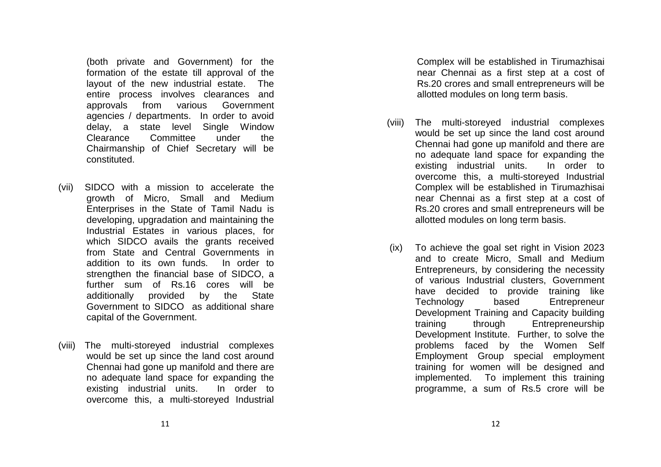(both private and Government) for the formation of the estate till approval of the layout of the new industrial estate. The entire process involves clearances and approvals from various Government agencies / departments. In order to avoid delay, a state level Single Window Clearance Committee under the Chairmanship of Chief Secretary will be constituted.

- (vii) SIDCO with a mission to accelerate the growth of Micro, Small and Medium Enterprises in the State of Tamil Nadu is developing, upgradation and maintaining the Industrial Estates in various places, for which SIDCO avails the grants received from State and Central Governments in addition to its own funds. In order to strengthen the financial base of SIDCO, a further sum of Rs.16 cores will be **State** additionally provided by the Government to SIDCO as additional share capital of the Government.
- (viii) The multi-storeyed industrial complexes would be set up since the land cost around Chennai had gone up manifold and there are no adequate land space for expanding the existing industrial units. In order to overcome this, a multi-storeyed Industrial

Complex will be established in Tirumazhisai near Chennai as a first step at a cost of Rs.20 crores and small entrepreneurs will be allotted modules on long term basis.

- (viii) The multi-storeyed industrial complexes would be set up since the land cost around Chennai had gone up manifold and there are no adequate land space for expanding the existing industrial units. In order to overcome this, a multi-storeyed Industrial Complex will be established in Tirumazhisai near Chennai as a first step at a cost of Rs.20 crores and small entrepreneurs will be allotted modules on long term basis.
	- (ix) To achieve the goal set right in Vision 2023 and to create Micro, Small and Medium Entrepreneurs, by considering the necessity of various Industrial clusters, Government have decided to provide training like Technology based Entrepreneur Development Training and Capacity building training through Entrepreneurship Development Institute. Further, to solve the problems faced by the Women Self Employment Group special employment training for women will be designed and implemented. To implement this training programme, a sum of Rs.5 crore will be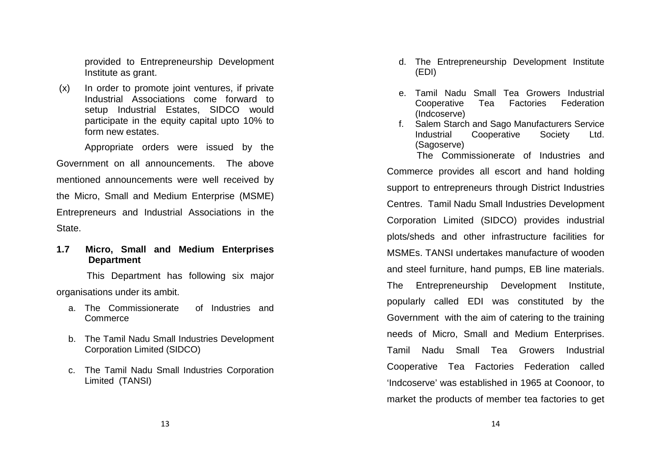provided to Entrepreneurship Development Institute as grant.

 (x) In order to promote joint ventures, if private Industrial Associations come forward to setup Industrial Estates, SIDCO would participate in the equity capital upto 10% to form new estates.

 Appropriate orders were issued by the Government on all announcements. The above mentioned announcements were well received by the Micro, Small and Medium Enterprise (MSME) Entrepreneurs and Industrial Associations in the State.

**1.7 Micro, Small and Medium Enterprises Department** 

 This Department has following six major organisations under its ambit.

- a. The Commissionerate of Industries and **Commerce**
- b. The Tamil Nadu Small Industries Development Corporation Limited (SIDCO)
- c. The Tamil Nadu Small Industries Corporation Limited (TANSI)
- d. The Entrepreneurship Development Institute (EDI)
- e. Tamil Nadu Small Tea Growers Industrial Cooperative Tea Factories Federation (Indcoserve)
- f. Salem Starch and Sago Manufacturers Service Industrial Cooperative Society Ltd. (Sagoserve)

 The Commissionerate of Industries and Commerce provides all escort and hand holding support to entrepreneurs through District Industries Centres. Tamil Nadu Small Industries Development Corporation Limited (SIDCO) provides industrial plots/sheds and other infrastructure facilities forMSMEs. TANSI undertakes manufacture of wooden and steel furniture, hand pumps, EB line materials.The Entrepreneurship Development Institute, popularly called EDI was constituted by the Government with the aim of catering to the training needs of Micro, Small and Medium Enterprises. Tamil Nadu Small Tea Growers Industrial Cooperative Tea Factories Federation called 'Indcoserve' was established in 1965 at Coonoor, tomarket the products of member tea factories to get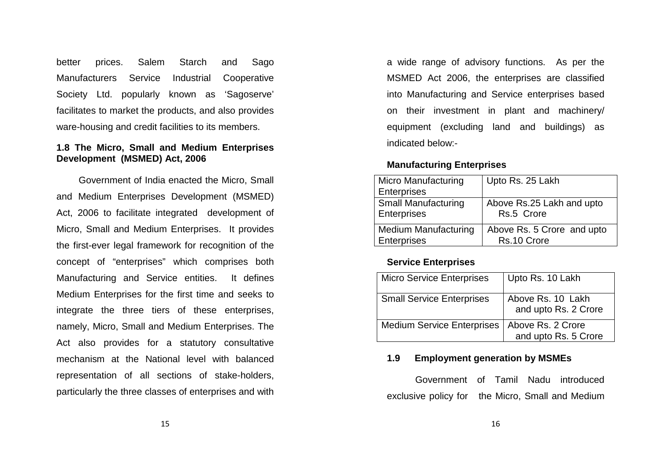better prices. Salem Starch and Sago Manufacturers Service Industrial Cooperative Society Ltd. popularly known as 'Sagoserve' facilitates to market the products, and also provides ware-housing and credit facilities to its members.

#### **1.8 The Micro, Small and Medium Enterprises Development (MSMED) Act, 2006**

Government of India enacted the Micro, Small and Medium Enterprises Development (MSMED) Act, 2006 to facilitate integrated development of Micro, Small and Medium Enterprises. It provides the first-ever legal framework for recognition of the concept of "enterprises" which comprises both Manufacturing and Service entities. It defines Medium Enterprises for the first time and seeks to integrate the three tiers of these enterprises, namely, Micro, Small and Medium Enterprises. The Act also provides for a statutory consultative mechanism at the National level with balanced representation of all sections of stake-holders, particularly the three classes of enterprises and with

a wide range of advisory functions. As per the MSMED Act 2006, the enterprises are classified into Manufacturing and Service enterprises based on their investment in plant and machinery/ equipment (excluding land and buildings) as indicated below:-

#### **Manufacturing Enterprises**

| <b>Micro Manufacturing</b>  | Upto Rs. 25 Lakh           |
|-----------------------------|----------------------------|
| <b>Enterprises</b>          |                            |
| <b>Small Manufacturing</b>  | Above Rs.25 Lakh and upto  |
| <b>Enterprises</b>          | Rs.5 Crore                 |
| <b>Medium Manufacturing</b> | Above Rs. 5 Crore and upto |
|                             |                            |
| <b>Enterprises</b>          | Rs.10 Crore                |

# **Service Enterprises**

| <b>Micro Service Enterprises</b>  | Upto Rs. 10 Lakh                          |
|-----------------------------------|-------------------------------------------|
| <b>Small Service Enterprises</b>  | Above Rs. 10 Lakh<br>and upto Rs. 2 Crore |
| <b>Medium Service Enterprises</b> | Above Rs. 2 Crore<br>and upto Rs. 5 Crore |

# **1.9 Employment generation by MSMEs**

 Government of Tamil Nadu introduced exclusive policy for the Micro, Small and Medium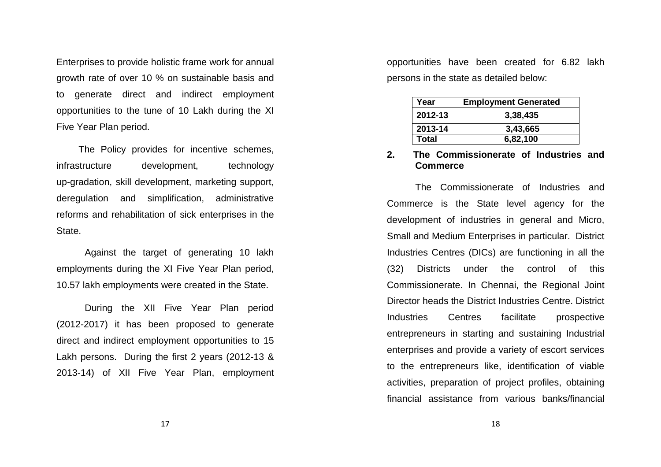Enterprises to provide holistic frame work for annual growth rate of over 10 % on sustainable basis and to generate direct and indirect employment opportunities to the tune of 10 Lakh during the XI Five Year Plan period.

The Policy provides for incentive schemes, infrastructure development, technology up-gradation, skill development, marketing support,deregulation and simplification, administrative reforms and rehabilitation of sick enterprises in the State.

 Against the target of generating 10 lakh employments during the XI Five Year Plan period, 10.57 lakh employments were created in the State.

 During the XII Five Year Plan period (2012-2017) it has been proposed to generate direct and indirect employment opportunities to 15 Lakh persons. During the first 2 years (2012-13 & 2013-14) of XII Five Year Plan, employment opportunities have been created for 6.82 lakh persons in the state as detailed below:

| Year    | <b>Employment Generated</b> |
|---------|-----------------------------|
| 2012-13 | 3,38,435                    |
| 2013-14 | 3,43,665                    |
| Total   | 6,82,100                    |

#### **2. The Commissionerate of Industries and Commerce**

The Commissionerate of Industries and Commerce is the State level agency for the development of industries in general and Micro, Small and Medium Enterprises in particular. District Industries Centres (DICs) are functioning in all the (32) Districts under the control of this Commissionerate. In Chennai, the Regional Joint Director heads the District Industries Centre. District Industries Centres facilitate prospective entrepreneurs in starting and sustaining Industrialenterprises and provide a variety of escort services to the entrepreneurs like, identification of viableactivities, preparation of project profiles, obtaining financial assistance from various banks/financial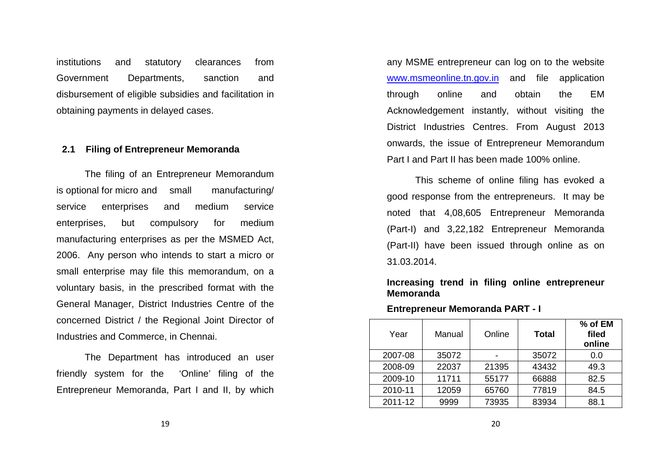institutions and statutory clearances from Government Departments, sanction and disbursement of eligible subsidies and facilitation in obtaining payments in delayed cases.

#### **2.1 Filing of Entrepreneur Memoranda**

 The filing of an Entrepreneur Memorandum is optional for micro and small manufacturing/ service enterprises and medium service enterprises, but compulsory for medium manufacturing enterprises as per the MSMED Act, 2006. Any person who intends to start a micro or small enterprise may file this memorandum, on a voluntary basis, in the prescribed format with the General Manager, District Industries Centre of the concerned District / the Regional Joint Director ofIndustries and Commerce, in Chennai.

 The Department has introduced an user friendly system for the 'Online' filing of the Entrepreneur Memoranda, Part I and II, by which

any MSME entrepreneur can log on to the website www.msmeonline.tn.gov.in and file application through online and obtain the EM Acknowledgement instantly, without visiting the District Industries Centres. From August 2013 onwards, the issue of Entrepreneur Memorandum Part I and Part II has been made 100% online.

 This scheme of online filing has evoked a good response from the entrepreneurs. It may be noted that 4,08,605 Entrepreneur Memoranda (Part-I) and 3,22,182 Entrepreneur Memoranda (Part-II) have been issued through online as on 31.03.2014.

#### **Increasing trend in filing online entrepreneur Memoranda**

**Entrepreneur Memoranda PART - I** 

| Year    | Manual | Online | Total | % of EM<br>filed<br>online |
|---------|--------|--------|-------|----------------------------|
| 2007-08 | 35072  |        | 35072 | 0.0                        |
| 2008-09 | 22037  | 21395  | 43432 | 49.3                       |
| 2009-10 | 11711  | 55177  | 66888 | 82.5                       |
| 2010-11 | 12059  | 65760  | 77819 | 84.5                       |
| 2011-12 | 9999   | 73935  | 83934 | 88.1                       |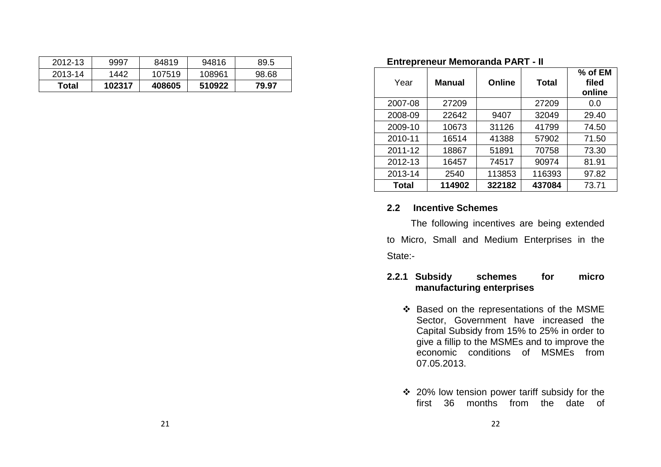| <u>LIIU ENEIJEUL MEIHVIAHUA LAN LEIL</u> |               |               |              |                            |  |  |
|------------------------------------------|---------------|---------------|--------------|----------------------------|--|--|
| Year                                     | <b>Manual</b> | <b>Online</b> | <b>Total</b> | % of EM<br>filed<br>online |  |  |
| 2007-08                                  | 27209         |               | 27209        | 0.0                        |  |  |
| 2008-09                                  | 22642         | 9407          | 32049        | 29.40                      |  |  |
| 2009-10                                  | 10673         | 31126         | 41799        | 74.50                      |  |  |
| 2010-11                                  | 16514         | 41388         | 57902        | 71.50                      |  |  |
| 2011-12                                  | 18867         | 51891         | 70758        | 73.30                      |  |  |
| 2012-13                                  | 16457         | 74517         | 90974        | 81.91                      |  |  |
| 2013-14                                  | 2540          | 113853        | 116393       | 97.82                      |  |  |
| <b>Total</b>                             | 114902        | 322182        | 437084       | 73.71                      |  |  |

#### **Entrepreneur Memoranda PART - II**

#### **2.2 Incentive Schemes**

The following incentives are being extended to Micro, Small and Medium Enterprises in the State:-

## **2.2.1 Subsidy schemes for micro manufacturing enterprises**

- Based on the representations of the MSME Sector, Government have increased the Capital Subsidy from 15% to 25% in order to give a fillip to the MSMEs and to improve the economic conditions of MSMEs from 07.05.2013.
- 20% low tension power tariff subsidy for the first 36 months from the date of

2012-13 9997 84819 94816 89.5 2013-14 1442 107519 108961 98.68 **Total 102317 408605 510922 79.97**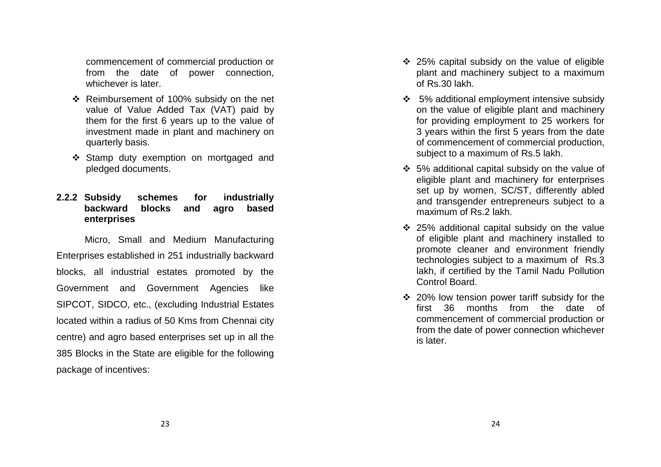commencement of commercial production or from the date of power connection, whichever is later.

- Reimbursement of 100% subsidy on the net value of Value Added Tax (VAT) paid by them for the first 6 years up to the value of investment made in plant and machinery on quarterly basis.
- Stamp duty exemption on mortgaged and pledged documents.

# **2.2.2 Subsidy schemes for industrially backward blocks and agro based enterprises**

 Micro, Small and Medium Manufacturing Enterprises established in 251 industrially backward blocks, all industrial estates promoted by the Government and Government Agencies like SIPCOT, SIDCO, etc., (excluding Industrial Estates located within a radius of 50 Kms from Chennai citycentre) and agro based enterprises set up in all the 385 Blocks in the State are eligible for the following package of incentives:

- 25% capital subsidy on the value of eligible plant and machinery subject to a maximum of Rs.30 lakh.
- 5% additional employment intensive subsidy on the value of eligible plant and machinery for providing employment to 25 workers for 3 years within the first 5 years from the date of commencement of commercial production, subject to a maximum of Rs.5 lakh.
- 5% additional capital subsidy on the value of eligible plant and machinery for enterprises set up by women, SC/ST, differently abled and transgender entrepreneurs subject to a maximum of Rs.2 lakh.
- 25% additional capital subsidy on the value of eligible plant and machinery installed to promote cleaner and environment friendly technologies subject to a maximum of Rs.3 lakh, if certified by the Tamil Nadu Pollution Control Board.
- 20% low tension power tariff subsidy for the first 36 months from the date of commencement of commercial production or from the date of power connection whichever is later.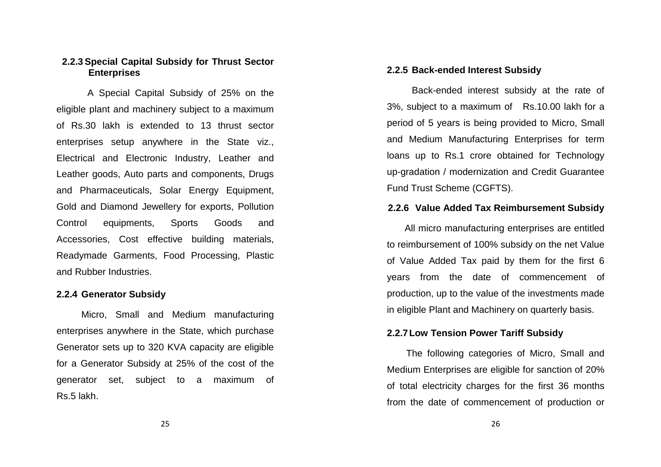#### **2.2.3 Special Capital Subsidy for Thrust Sector Enterprises**

 A Special Capital Subsidy of 25% on the eligible plant and machinery subject to a maximum of Rs.30 lakh is extended to 13 thrust sector enterprises setup anywhere in the State viz., Electrical and Electronic Industry, Leather and Leather goods, Auto parts and components, Drugs and Pharmaceuticals, Solar Energy Equipment, Gold and Diamond Jewellery for exports, Pollution Control equipments, Sports Goods and Accessories, Cost effective building materials, Readymade Garments, Food Processing, Plastic and Rubber Industries.

#### **2.2.4 Generator Subsidy**

 Micro, Small and Medium manufacturing enterprises anywhere in the State, which purchase Generator sets up to 320 KVA capacity are eligible for a Generator Subsidy at 25% of the cost of the generator set, subject to a maximum of Rs.5 lakh.

#### **2.2.5 Back-ended Interest Subsidy**

 Back-ended interest subsidy at the rate of 3%, subject to a maximum of Rs.10.00 lakh for a period of 5 years is being provided to Micro, Smalland Medium Manufacturing Enterprises for term loans up to Rs.1 crore obtained for Technology up-gradation / modernization and Credit Guarantee Fund Trust Scheme (CGFTS).

#### **2.2.6 Value Added Tax Reimbursement Subsidy**

All micro manufacturing enterprises are entitled to reimbursement of 100% subsidy on the net Value of Value Added Tax paid by them for the first 6 years from the date of commencement of production, up to the value of the investments madein eligible Plant and Machinery on quarterly basis.

#### **2.2.7 Low Tension Power Tariff Subsidy**

The following categories of Micro, Small and Medium Enterprises are eligible for sanction of 20% of total electricity charges for the first 36 months from the date of commencement of production or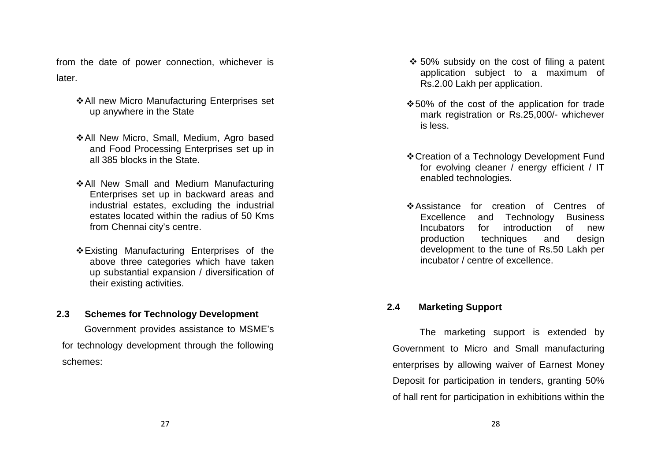from the date of power connection, whichever is later.

- All new Micro Manufacturing Enterprises set up anywhere in the State
- All New Micro, Small, Medium, Agro based and Food Processing Enterprises set up in all 385 blocks in the State.
- All New Small and Medium Manufacturing Enterprises set up in backward areas and industrial estates, excluding the industrial estates located within the radius of 50 Kms from Chennai city's centre.
- Existing Manufacturing Enterprises of the above three categories which have taken up substantial expansion / diversification of their existing activities.

# **2.3 Schemes for Technology Development**

Government provides assistance to MSME's for technology development through the following schemes:

- 50% subsidy on the cost of filing a patent application subject to a maximum of Rs.2.00 Lakh per application.
- 50% of the cost of the application for trade mark registration or Rs.25,000/- whichever is less.
- Creation of a Technology Development Fund for evolving cleaner / energy efficient / IT enabled technologies.
- Assistance for creation of Centres of Excellence and Technology Business of new Incubators for introduction production techniques and design development to the tune of Rs.50 Lakh per incubator / centre of excellence.

# **2.4 Marketing Support**

 The marketing support is extended by Government to Micro and Small manufacturing enterprises by allowing waiver of Earnest Money Deposit for participation in tenders, granting 50% of hall rent for participation in exhibitions within the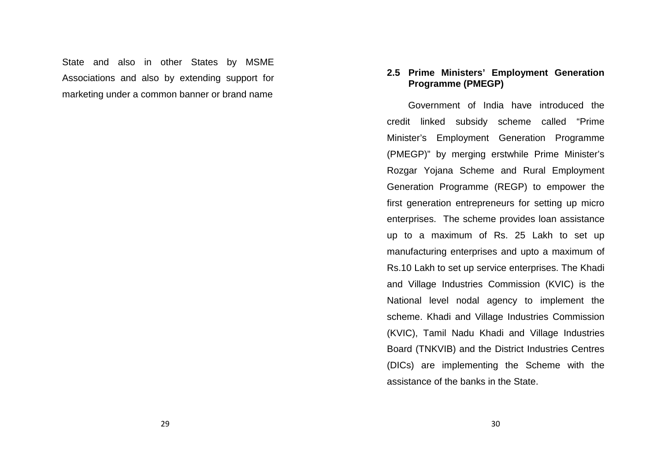State and also in other States by MSME Associations and also by extending support for marketing under a common banner or brand name

## **2.5 Prime Ministers' Employment Generation Programme (PMEGP)**

Government of India have introduced the credit linked subsidy scheme called "Prime Minister's Employment Generation Programme (PMEGP)" by merging erstwhile Prime Minister's Rozgar Yojana Scheme and Rural Employment Generation Programme (REGP) to empower the first generation entrepreneurs for setting up microenterprises. The scheme provides loan assistance up to a maximum of Rs. 25 Lakh to set up manufacturing enterprises and upto a maximum of Rs.10 Lakh to set up service enterprises. The Khadiand Village Industries Commission (KVIC) is the National level nodal agency to implement the scheme. Khadi and Village Industries Commission (KVIC), Tamil Nadu Khadi and Village Industries Board (TNKVIB) and the District Industries Centres (DICs) are implementing the Scheme with the assistance of the banks in the State.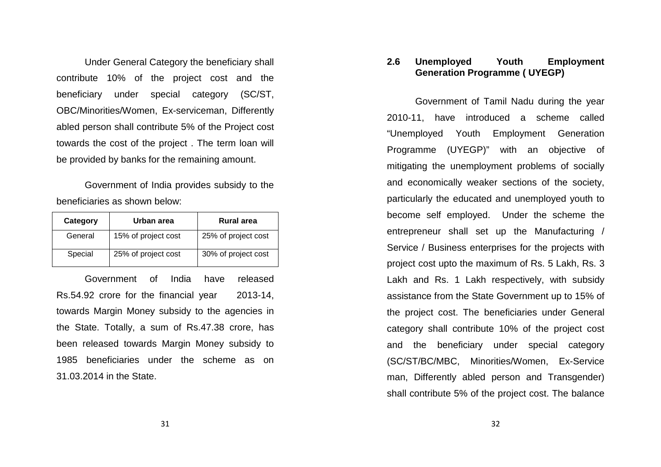Under General Category the beneficiary shall contribute 10% of the project cost and the beneficiary under special category (SC/ST, OBC/Minorities/Women, Ex-serviceman, Differently abled person shall contribute 5% of the Project cost towards the cost of the project . The term loan will be provided by banks for the remaining amount.

 Government of India provides subsidy to the beneficiaries as shown below:

| Category | Urban area          | Rural area          |
|----------|---------------------|---------------------|
| General  | 15% of project cost | 25% of project cost |
| Special  | 25% of project cost | 30% of project cost |

Government of India have released Rs.54.92 crore for the financial year 2013-14, towards Margin Money subsidy to the agencies in the State. Totally, a sum of Rs.47.38 crore, has been released towards Margin Money subsidy to 1985 beneficiaries under the scheme as on 31.03.2014 in the State.

#### **2.6 Unemployed Youth Employment Generation Programme ( UYEGP)**

Government of Tamil Nadu during the year 2010-11, have introduced a scheme called "Unemployed Youth Employment Generation Programme (UYEGP)" with an objective of mitigating the unemployment problems of socially and economically weaker sections of the society, particularly the educated and unemployed youth to become self employed. Under the scheme the entrepreneur shall set up the Manufacturing / Service / Business enterprises for the projects with project cost upto the maximum of Rs. 5 Lakh, Rs. 3 Lakh and Rs. 1 Lakh respectively, with subsidy assistance from the State Government up to 15% of the project cost. The beneficiaries under General category shall contribute 10% of the project cost and the beneficiary under special category (SC/ST/BC/MBC, Minorities/Women, Ex-Service man, Differently abled person and Transgender) shall contribute 5% of the project cost. The balance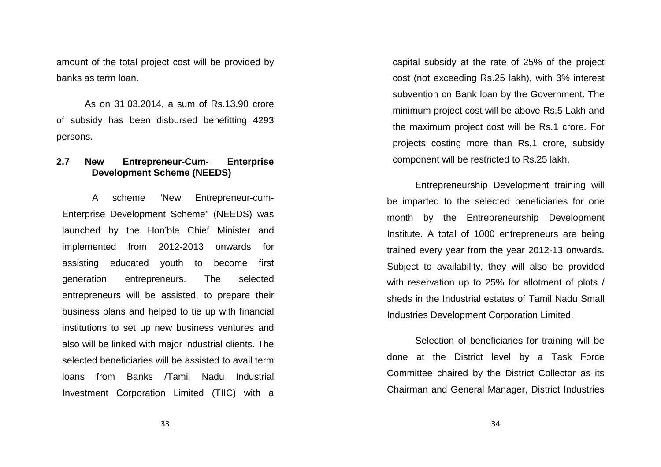amount of the total project cost will be provided by banks as term loan.

As on 31.03.2014, a sum of Rs.13.90 crore of subsidy has been disbursed benefitting 4293 persons.

#### **2.7 New Entrepreneur-Cum- Enterprise Development Scheme (NEEDS)**

A scheme "New Entrepreneur-cum-Enterprise Development Scheme" (NEEDS) was launched by the Hon'ble Chief Minister and implemented from 2012-2013 onwards for assisting educated youth to become first generation entrepreneurs. The selected entrepreneurs will be assisted, to prepare their business plans and helped to tie up with financial institutions to set up new business ventures and also will be linked with major industrial clients. The selected beneficiaries will be assisted to avail term loans from Banks /Tamil Nadu Industrial Investment Corporation Limited (TIIC) with a capital subsidy at the rate of 25% of the project cost (not exceeding Rs.25 lakh), with 3% interest subvention on Bank loan by the Government. The minimum project cost will be above Rs.5 Lakh and the maximum project cost will be Rs.1 crore. For projects costing more than Rs.1 crore, subsidy component will be restricted to Rs.25 lakh.

Entrepreneurship Development training will be imparted to the selected beneficiaries for one month by the Entrepreneurship Development Institute. A total of 1000 entrepreneurs are being trained every year from the year 2012-13 onwards. Subject to availability, they will also be providedwith reservation up to 25% for allotment of plots /sheds in the Industrial estates of Tamil Nadu SmallIndustries Development Corporation Limited.

Selection of beneficiaries for training will be done at the District level by a Task Force Committee chaired by the District Collector as its Chairman and General Manager, District Industries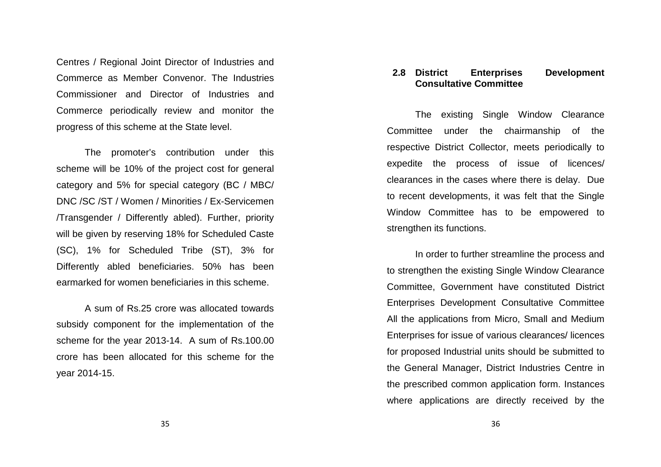Centres / Regional Joint Director of Industries andCommerce as Member Convenor. The Industries Commissioner and Director of Industries and Commerce periodically review and monitor the progress of this scheme at the State level.

The promoter's contribution under this scheme will be 10% of the project cost for general category and 5% for special category (BC / MBC/ DNC /SC /ST / Women / Minorities / Ex-Servicemen /Transgender / Differently abled). Further, priority will be given by reserving 18% for Scheduled Caste (SC), 1% for Scheduled Tribe (ST), 3% for Differently abled beneficiaries. 50% has been earmarked for women beneficiaries in this scheme.

A sum of Rs.25 crore was allocated towards subsidy component for the implementation of the scheme for the year 2013-14. A sum of Rs.100.00 crore has been allocated for this scheme for the year 2014-15.

#### **2.8 District Enterprises Development Consultative Committee**

The existing Single Window Clearance Committee under the chairmanship of the respective District Collector, meets periodically to expedite the process of issue of licences/ clearances in the cases where there is delay. Due to recent developments, it was felt that the SingleWindow Committee has to be empowered to strengthen its functions.

In order to further streamline the process and to strengthen the existing Single Window Clearance Committee, Government have constituted District Enterprises Development Consultative Committee All the applications from Micro, Small and Medium Enterprises for issue of various clearances/ licences for proposed Industrial units should be submitted to the General Manager, District Industries Centre in the prescribed common application form. Instances where applications are directly received by the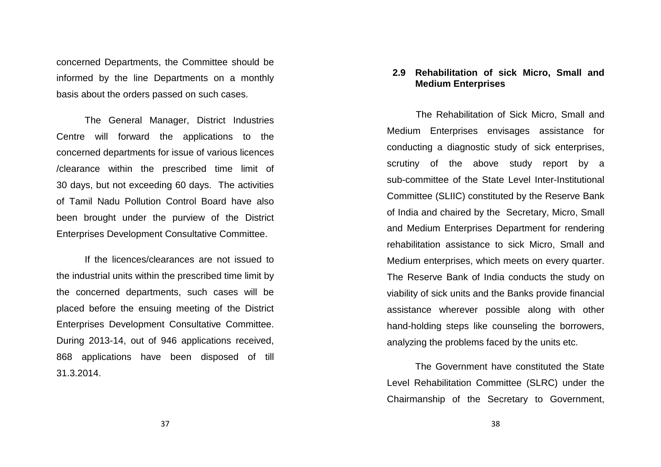concerned Departments, the Committee should be informed by the line Departments on a monthly basis about the orders passed on such cases.

The General Manager, District Industries Centre will forward the applications to the concerned departments for issue of various licences/clearance within the prescribed time limit of 30 days, but not exceeding 60 days. The activitiesof Tamil Nadu Pollution Control Board have also been brought under the purview of the District Enterprises Development Consultative Committee.

If the licences/clearances are not issued to the industrial units within the prescribed time limit by the concerned departments, such cases will be placed before the ensuing meeting of the District Enterprises Development Consultative Committee. During 2013-14, out of 946 applications received, 868 applications have been disposed of till 31.3.2014.

#### **2.9 Rehabilitation of sick Micro, Small and Medium Enterprises**

The Rehabilitation of Sick Micro, Small and Medium Enterprises envisages assistance for conducting a diagnostic study of sick enterprises, scrutiny of the above study report by a sub-committee of the State Level Inter-Institutional Committee (SLIIC) constituted by the Reserve Bank of India and chaired by the Secretary, Micro, Small and Medium Enterprises Department for rendering rehabilitation assistance to sick Micro, Small and Medium enterprises, which meets on every quarter. The Reserve Bank of India conducts the study on viability of sick units and the Banks provide financial assistance wherever possible along with other hand-holding steps like counseling the borrowers, analyzing the problems faced by the units etc.

The Government have constituted the State Level Rehabilitation Committee (SLRC) under the Chairmanship of the Secretary to Government,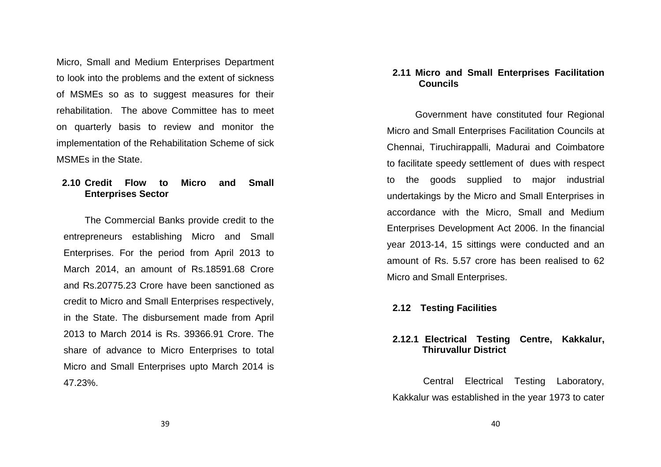Micro, Small and Medium Enterprises Department to look into the problems and the extent of sickness of MSMEs so as to suggest measures for their rehabilitation. The above Committee has to meet on quarterly basis to review and monitor the implementation of the Rehabilitation Scheme of sickMSMEs in the State.

### **2.10 Credit Flow to Micro and Small Enterprises Sector**

The Commercial Banks provide credit to the entrepreneurs establishing Micro and Small Enterprises. For the period from April 2013 to March 2014, an amount of Rs.18591.68 Crore and Rs.20775.23 Crore have been sanctioned as credit to Micro and Small Enterprises respectively,in the State. The disbursement made from April 2013 to March 2014 is Rs. 39366.91 Crore. The share of advance to Micro Enterprises to total Micro and Small Enterprises upto March 2014 is 47.23%.

#### **2.11 Micro and Small Enterprises Facilitation Councils**

Government have constituted four Regional Micro and Small Enterprises Facilitation Councils at Chennai, Tiruchirappalli, Madurai and Coimbatore to facilitate speedy settlement of dues with respect to the goods supplied to major industrial undertakings by the Micro and Small Enterprises in accordance with the Micro, Small and Medium Enterprises Development Act 2006. In the financial year 2013-14, 15 sittings were conducted and an amount of Rs. 5.57 crore has been realised to 62 Micro and Small Enterprises.

#### **2.12 Testing Facilities**

# **2.12.1 Electrical Testing Centre, Kakkalur, Thiruvallur District**

 Central Electrical Testing Laboratory, Kakkalur was established in the year 1973 to cater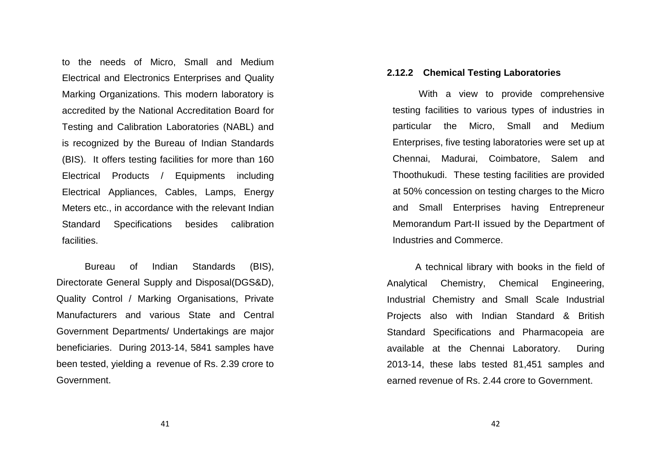to the needs of Micro, Small and Medium Electrical and Electronics Enterprises and Quality Marking Organizations. This modern laboratory is accredited by the National Accreditation Board for Testing and Calibration Laboratories (NABL) and is recognized by the Bureau of Indian Standards (BIS). It offers testing facilities for more than 160 Electrical Products / Equipments including Electrical Appliances, Cables, Lamps, Energy Meters etc., in accordance with the relevant IndianStandard Specifications besides calibration facilities.

Bureau of Indian Standards (BIS), Directorate General Supply and Disposal(DGS&D), Quality Control / Marking Organisations, Private Manufacturers and various State and Central Government Departments/ Undertakings are major beneficiaries. During 2013-14, 5841 samples have been tested, yielding a revenue of Rs. 2.39 crore to Government.

#### **2.12.2 Chemical Testing Laboratories**

With a view to provide comprehensive testing facilities to various types of industries in particular the Micro, Small and Medium Enterprises, five testing laboratories were set up at Chennai, Madurai, Coimbatore, Salem and Thoothukudi. These testing facilities are providedat 50% concession on testing charges to the Micro and Small Enterprises having Entrepreneur Memorandum Part-II issued by the Department of Industries and Commerce.

A technical library with books in the field of Analytical Chemistry, Chemical Engineering, Industrial Chemistry and Small Scale Industrial Projects also with Indian Standard & British Standard Specifications and Pharmacopeia are available at the Chennai Laboratory. During 2013-14, these labs tested 81,451 samples and earned revenue of Rs. 2.44 crore to Government.

41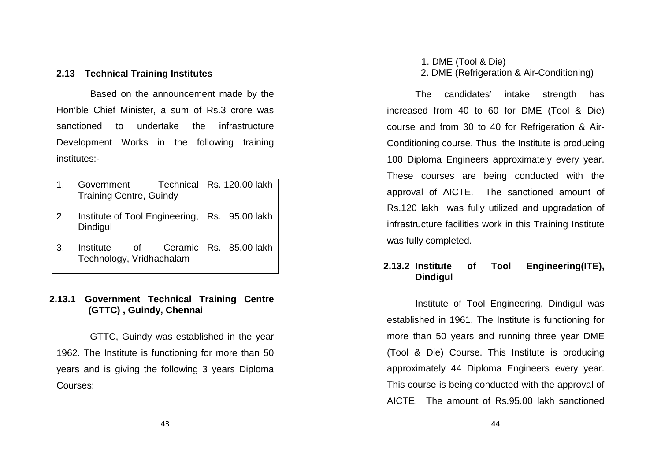## **2.13 Technical Training Institutes**

 Based on the announcement made by the Hon'ble Chief Minister, a sum of Rs.3 crore was sanctioned to undertake the infrastructure Development Works in the following training institutes:-

|    | Government<br><b>Training Centre, Guindy</b>             | Technical   Rs. 120.00 lakh |
|----|----------------------------------------------------------|-----------------------------|
| 2. | Institute of Tool Engineering,<br>Dindigul               | Rs. 95.00 lakh              |
| 3. | Ceramic  <br>Institute<br>of<br>Technology, Vridhachalam | Rs. 85.00 lakh              |

#### **2.13.1 Government Technical Training Centre (GTTC) , Guindy, Chennai**

 GTTC, Guindy was established in the year 1962. The Institute is functioning for more than 50years and is giving the following 3 years Diploma Courses:

# 1. DME (Tool & Die) 2. DME (Refrigeration & Air-Conditioning)

The candidates' intake strength has increased from 40 to 60 for DME (Tool & Die) course and from 30 to 40 for Refrigeration & Air-Conditioning course. Thus, the Institute is producing 100 Diploma Engineers approximately every year. These courses are being conducted with the approval of AICTE. The sanctioned amount of Rs.120 lakh was fully utilized and upgradation of infrastructure facilities work in this Training Institute was fully completed.

# **2.13.2 Institute of Tool Engineering(ITE), Dindigul**

 Institute of Tool Engineering, Dindigul was established in 1961. The Institute is functioning for more than 50 years and running three year DME (Tool & Die) Course. This Institute is producing approximately 44 Diploma Engineers every year. This course is being conducted with the approval ofAICTE. The amount of Rs.95.00 lakh sanctioned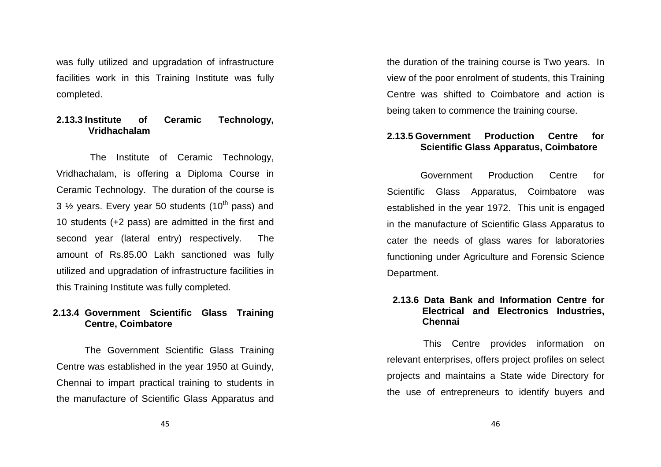was fully utilized and upgradation of infrastructure facilities work in this Training Institute was fully completed.

## **2.13.3 Institute of Ceramic Technology, Vridhachalam**

 The Institute of Ceramic Technology, Vridhachalam, is offering a Diploma Course in Ceramic Technology. The duration of the course is 3  $\frac{1}{2}$  years. Every year 50 students (10<sup>th</sup> pass) and 10 students (+2 pass) are admitted in the first andsecond year (lateral entry) respectively. The amount of Rs.85.00 Lakh sanctioned was fully utilized and upgradation of infrastructure facilities in this Training Institute was fully completed.

#### **2.13.4 Government Scientific Glass Training Centre, Coimbatore**

The Government Scientific Glass Training Centre was established in the year 1950 at Guindy, Chennai to impart practical training to students inthe manufacture of Scientific Glass Apparatus and the duration of the training course is Two years. In view of the poor enrolment of students, this Training Centre was shifted to Coimbatore and action is being taken to commence the training course.

# **2.13.5 Government Production Centre for Scientific Glass Apparatus, Coimbatore**

 Government Production Centre for Scientific Glass Apparatus, Coimbatore was established in the year 1972. This unit is engagedin the manufacture of Scientific Glass Apparatus tocater the needs of glass wares for laboratories functioning under Agriculture and Forensic Science Department.

## **2.13.6 Data Bank and Information Centre for Electrical and Electronics Industries, Chennai**

 This Centre provides information on relevant enterprises, offers project profiles on select projects and maintains a State wide Directory for the use of entrepreneurs to identify buyers and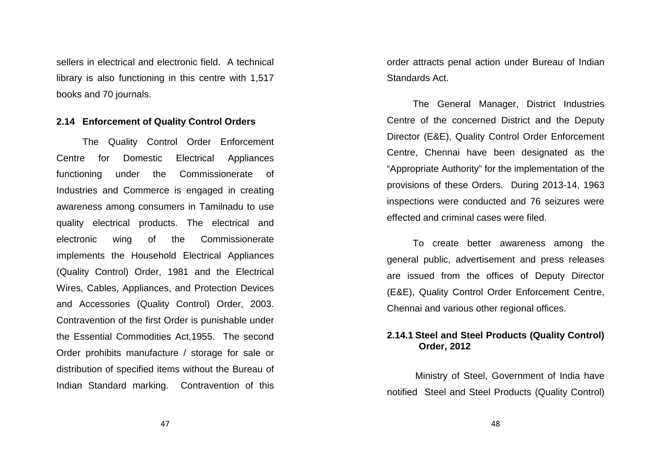sellers in electrical and electronic field. A technical library is also functioning in this centre with 1,517 books and 70 journals.

#### **2.14 Enforcement of Quality Control Orders**

The Quality Control Order Enforcement Centre for Domestic Electrical Appliances functioning under the Commissionerate of Industries and Commerce is engaged in creating awareness among consumers in Tamilnadu to use quality electrical products. The electrical and electronic wing of the Commissionerate implements the Household Electrical Appliances (Quality Control) Order, 1981 and the Electrical Wires, Cables, Appliances, and Protection Devices and Accessories (Quality Control) Order, 2003. Contravention of the first Order is punishable under the Essential Commodities Act,1955. The second Order prohibits manufacture / storage for sale or distribution of specified items without the Bureau of Indian Standard marking. Contravention of this order attracts penal action under Bureau of Indian Standards Act.

The General Manager, District Industries Centre of the concerned District and the Deputy Director (E&E), Quality Control Order Enforcement Centre, Chennai have been designated as the "Appropriate Authority" for the implementation of the provisions of these Orders. During 2013-14, 1963 inspections were conducted and 76 seizures were effected and criminal cases were filed.

To create better awareness among the general public, advertisement and press releases are issued from the offices of Deputy Director (E&E), Quality Control Order Enforcement Centre, Chennai and various other regional offices.

#### **2.14.1 Steel and Steel Products (Quality Control) Order, 2012**

Ministry of Steel, Government of India have notified Steel and Steel Products (Quality Control)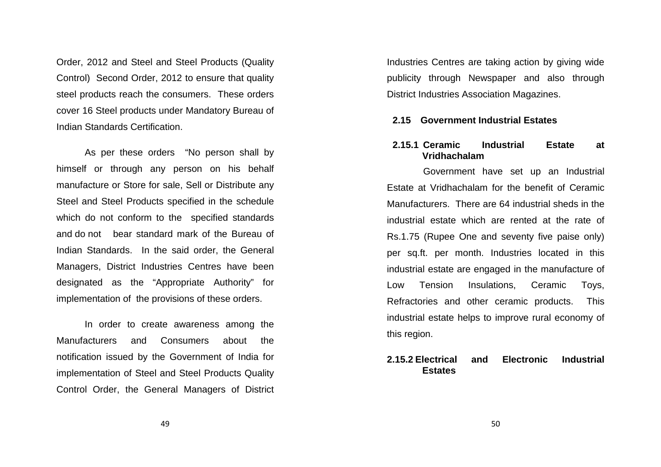Order, 2012 and Steel and Steel Products (Quality Control) Second Order, 2012 to ensure that qualitysteel products reach the consumers. These orders cover 16 Steel products under Mandatory Bureau of Indian Standards Certification.

As per these orders "No person shall by himself or through any person on his behalf manufacture or Store for sale, Sell or Distribute any Steel and Steel Products specified in the schedule which do not conform to the specified standards and do not bear standard mark of the Bureau of Indian Standards. In the said order, the General Managers, District Industries Centres have been designated as the "Appropriate Authority" for implementation of the provisions of these orders.

In order to create awareness among the Manufacturers and Consumers about the notification issued by the Government of India for implementation of Steel and Steel Products Quality Control Order, the General Managers of District Industries Centres are taking action by giving widepublicity through Newspaper and also through District Industries Association Magazines.

#### **2.15 Government Industrial Estates**

#### **2.15.1 Ceramic Industrial Estate at Vridhachalam**

 Government have set up an Industrial Estate at Vridhachalam for the benefit of Ceramic Manufacturers. There are 64 industrial sheds in the industrial estate which are rented at the rate of Rs.1.75 (Rupee One and seventy five paise only) per sq.ft. per month. Industries located in this industrial estate are engaged in the manufacture ofLow Tension Insulations, Ceramic Toys, Refractories and other ceramic products. This industrial estate helps to improve rural economy ofthis region.

#### **2.15.2 Electrical and Electronic Industrial Estates**

49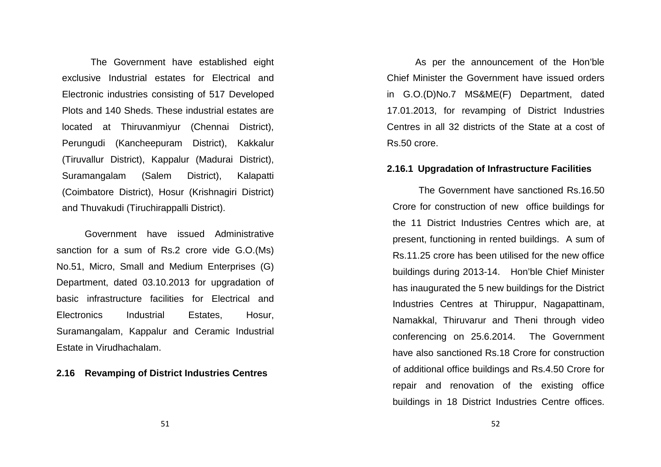The Government have established eight exclusive Industrial estates for Electrical and Electronic industries consisting of 517 Developed Plots and 140 Sheds. These industrial estates are located at Thiruvanmiyur (Chennai District), Perungudi (Kancheepuram District), Kakkalur (Tiruvallur District), Kappalur (Madurai District),Suramangalam (Salem District), Kalapatti (Coimbatore District), Hosur (Krishnagiri District)and Thuvakudi (Tiruchirappalli District).

Government have issued Administrative sanction for a sum of Rs.2 crore vide G.O.(Ms) No.51, Micro, Small and Medium Enterprises (G) Department, dated 03.10.2013 for upgradation of basic infrastructure facilities for Electrical and Electronics Industrial Estates, Hosur, Suramangalam, Kappalur and Ceramic Industrial Estate in Virudhachalam.

#### **2.16 Revamping of District Industries Centres**

As per the announcement of the Hon'ble Chief Minister the Government have issued orders in G.O.(D)No.7 MS&ME(F) Department, dated 17.01.2013, for revamping of District Industries Centres in all 32 districts of the State at a cost of Rs.50 crore.

#### **2.16.1 Upgradation of Infrastructure Facilities**

The Government have sanctioned Rs.16.50 Crore for construction of new office buildings forthe 11 District Industries Centres which are, at present, functioning in rented buildings. A sum ofRs.11.25 crore has been utilised for the new officebuildings during 2013-14. Hon'ble Chief Minister has inaugurated the 5 new buildings for the District Industries Centres at Thiruppur, Nagapattinam, Namakkal, Thiruvarur and Theni through video conferencing on 25.6.2014. The Government have also sanctioned Rs.18 Crore for construction of additional office buildings and Rs.4.50 Crore for repair and renovation of the existing office buildings in 18 District Industries Centre offices.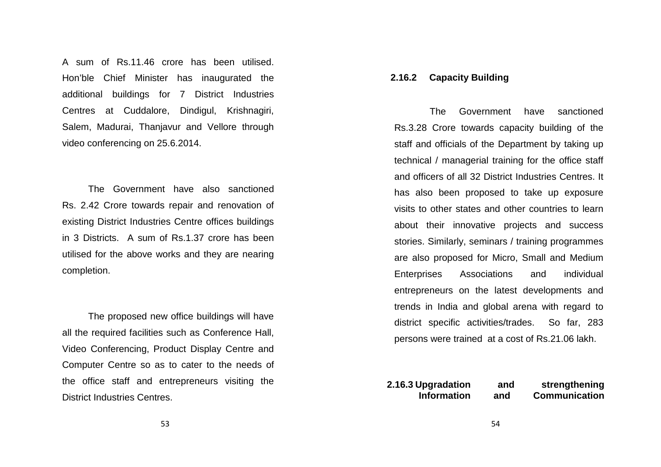A sum of Rs.11.46 crore has been utilised. Hon'ble Chief Minister has inaugurated the additional buildings for 7 District Industries Centres at Cuddalore, Dindigul, Krishnagiri, Salem, Madurai, Thanjavur and Vellore through video conferencing on 25.6.2014.

The Government have also sanctioned Rs. 2.42 Crore towards repair and renovation of existing District Industries Centre offices buildings in 3 Districts. A sum of Rs.1.37 crore has been utilised for the above works and they are nearing completion.

The proposed new office buildings will have all the required facilities such as Conference Hall, Video Conferencing, Product Display Centre and Computer Centre so as to cater to the needs of the office staff and entrepreneurs visiting the District Industries Centres.

#### **2.16.2 Capacity Building**

 The Government have sanctioned Rs.3.28 Crore towards capacity building of the staff and officials of the Department by taking up technical / managerial training for the office staff and officers of all 32 District Industries Centres. It has also been proposed to take up exposure visits to other states and other countries to learnabout their innovative projects and success stories. Similarly, seminars / training programmes are also proposed for Micro, Small and Medium Enterprises Associations and individual entrepreneurs on the latest developments and trends in India and global arena with regard to district specific activities/trades. So far, 283 persons were trained at a cost of Rs.21.06 lakh.

**2.16.3 Upgradation and strengthening Information and Communication**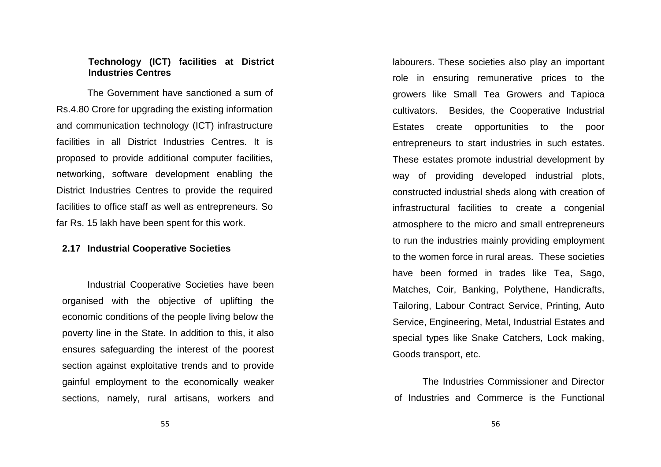#### **Technology (ICT) facilities at District Industries Centres**

 The Government have sanctioned a sum of Rs.4.80 Crore for upgrading the existing information and communication technology (ICT) infrastructure facilities in all District Industries Centres. It is proposed to provide additional computer facilities,networking, software development enabling the District Industries Centres to provide the requiredfacilities to office staff as well as entrepreneurs. So far Rs. 15 lakh have been spent for this work.

#### **2.17 Industrial Cooperative Societies**

 Industrial Cooperative Societies have been organised with the objective of uplifting the economic conditions of the people living below the poverty line in the State. In addition to this, it also ensures safeguarding the interest of the poorest section against exploitative trends and to provide gainful employment to the economically weaker sections, namely, rural artisans, workers and labourers. These societies also play an important role in ensuring remunerative prices to the growers like Small Tea Growers and Tapioca cultivators. Besides, the Cooperative Industrial Estates create opportunities to the poor entrepreneurs to start industries in such estates. These estates promote industrial development by way of providing developed industrial plots, constructed industrial sheds along with creation ofinfrastructural facilities to create a congenial atmosphere to the micro and small entrepreneurs to run the industries mainly providing employment to the women force in rural areas. These societieshave been formed in trades like Tea, Sago, Matches, Coir, Banking, Polythene, Handicrafts, Tailoring, Labour Contract Service, Printing, Auto Service, Engineering, Metal, Industrial Estates andspecial types like Snake Catchers, Lock making, Goods transport, etc.

The Industries Commissioner and Director of Industries and Commerce is the Functional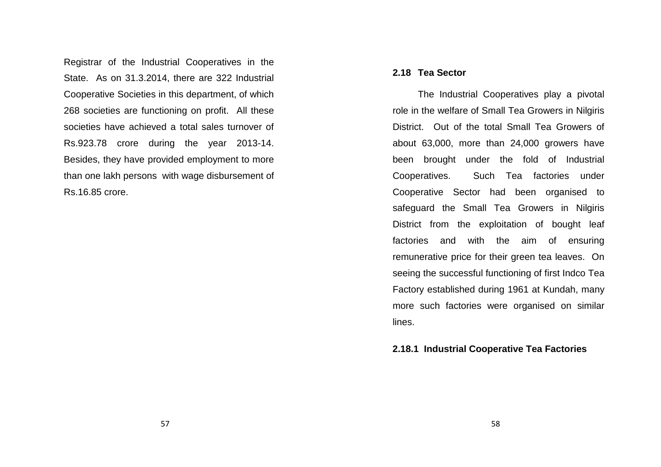Registrar of the Industrial Cooperatives in the State. As on 31.3.2014, there are 322 Industrial Cooperative Societies in this department, of which 268 societies are functioning on profit. All thesesocieties have achieved a total sales turnover of Rs.923.78 crore during the year 2013-14. Besides, they have provided employment to more than one lakh persons with wage disbursement of Rs.16.85 crore.

#### **2.18 Tea Sector**

 The Industrial Cooperatives play a pivotal role in the welfare of Small Tea Growers in Nilgiris District. Out of the total Small Tea Growers of about 63,000, more than 24,000 growers have been brought under the fold of Industrial Cooperatives. Such Tea factories under Cooperative Sector had been organised to safeguard the Small Tea Growers in Nilgiris District from the exploitation of bought leaf factories and with the aim of ensuring remunerative price for their green tea leaves. On seeing the successful functioning of first Indco Tea Factory established during 1961 at Kundah, many more such factories were organised on similar lines.

#### **2.18.1 Industrial Cooperative Tea Factories**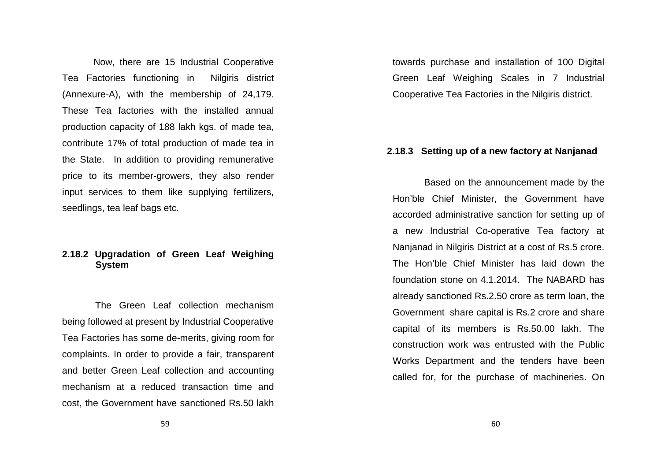Now, there are 15 Industrial Cooperative Tea Factories functioning in Nilgiris district (Annexure-A), with the membership of 24,179. These Tea factories with the installed annual production capacity of 188 lakh kgs. of made tea, contribute 17% of total production of made tea in the State. In addition to providing remunerative price to its member-growers, they also render input services to them like supplying fertilizers, seedlings, tea leaf bags etc.

#### **2.18.2 Upgradation of Green Leaf Weighing System**

 The Green Leaf collection mechanism being followed at present by Industrial CooperativeTea Factories has some de-merits, giving room for complaints. In order to provide a fair, transparentand better Green Leaf collection and accounting mechanism at a reduced transaction time and cost, the Government have sanctioned Rs.50 lakh towards purchase and installation of 100 Digital Green Leaf Weighing Scales in 7 Industrial Cooperative Tea Factories in the Nilgiris district.

#### **2.18.3 Setting up of a new factory at Nanjanad**

 Based on the announcement made by the Hon'ble Chief Minister, the Government have accorded administrative sanction for setting up of a new Industrial Co-operative Tea factory at Nanjanad in Nilgiris District at a cost of Rs.5 crore. The Hon'ble Chief Minister has laid down the foundation stone on 4.1.2014. The NABARD has already sanctioned Rs.2.50 crore as term loan, the Government share capital is Rs.2 crore and share capital of its members is Rs.50.00 lakh. The construction work was entrusted with the Public Works Department and the tenders have been called for, for the purchase of machineries. On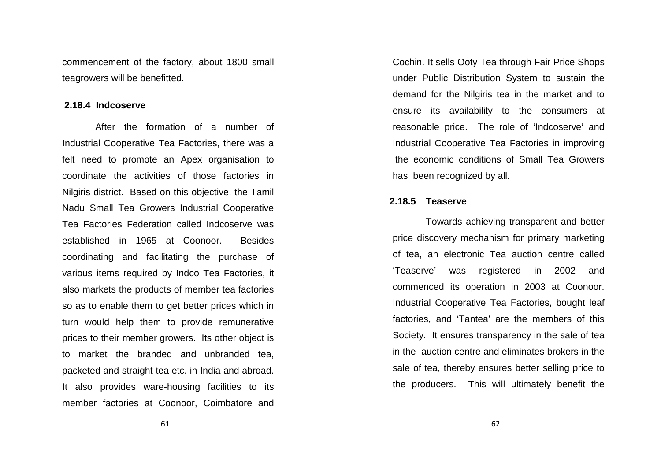commencement of the factory, about 1800 small teagrowers will be benefitted.

#### **2.18.4 Indcoserve**

 After the formation of a number of Industrial Cooperative Tea Factories, there was a felt need to promote an Apex organisation to coordinate the activities of those factories in Nilgiris district. Based on this objective, the Tamil Nadu Small Tea Growers Industrial Cooperative Tea Factories Federation called Indcoserve was established in 1965 at Coonoor. Besides coordinating and facilitating the purchase of various items required by Indco Tea Factories, it also markets the products of member tea factories so as to enable them to get better prices which in turn would help them to provide remunerative prices to their member growers. Its other object is to market the branded and unbranded tea, packeted and straight tea etc. in India and abroad.It also provides ware-housing facilities to its member factories at Coonoor, Coimbatore and

Cochin. It sells Ooty Tea through Fair Price Shops under Public Distribution System to sustain the demand for the Nilgiris tea in the market and to ensure its availability to the consumers at reasonable price. The role of 'Indcoserve' and Industrial Cooperative Tea Factories in improving the economic conditions of Small Tea Growers has been recognized by all.

#### **2.18.5 Teaserve**

Towards achieving transparent and better price discovery mechanism for primary marketing of tea, an electronic Tea auction centre called 'Teaserve' was registered in 2002 and commenced its operation in 2003 at Coonoor. Industrial Cooperative Tea Factories, bought leaf factories, and 'Tantea' are the members of this Society. It ensures transparency in the sale of tea in the auction centre and eliminates brokers in the sale of tea, thereby ensures better selling price to the producers. This will ultimately benefit the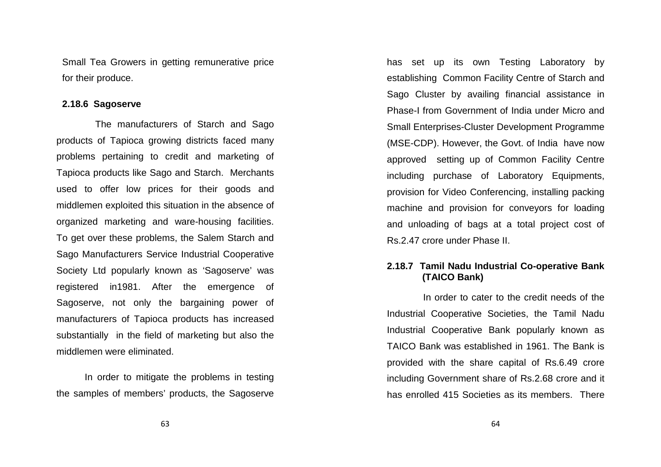Small Tea Growers in getting remunerative price for their produce.

#### **2.18.6 Sagoserve**

 The manufacturers of Starch and Sago products of Tapioca growing districts faced many problems pertaining to credit and marketing of Tapioca products like Sago and Starch. Merchants used to offer low prices for their goods and middlemen exploited this situation in the absence of organized marketing and ware-housing facilities. To get over these problems, the Salem Starch and Sago Manufacturers Service Industrial Cooperative Society Ltd popularly known as 'Sagoserve' was registered in1981. After the emergence of Sagoserve, not only the bargaining power of manufacturers of Tapioca products has increased substantially in the field of marketing but also the middlemen were eliminated.

In order to mitigate the problems in testing the samples of members' products, the Sagoserve has set up its own Testing Laboratory by establishing Common Facility Centre of Starch and Sago Cluster by availing financial assistance in Phase-I from Government of India under Micro and Small Enterprises-Cluster Development Programme (MSE-CDP). However, the Govt. of India have now approved setting up of Common Facility Centre including purchase of Laboratory Equipments, provision for Video Conferencing, installing packing machine and provision for conveyors for loading and unloading of bags at a total project cost of Rs.2.47 crore under Phase II.

# **2.18.7 Tamil Nadu Industrial Co-operative Bank (TAICO Bank)**

 In order to cater to the credit needs of the Industrial Cooperative Societies, the Tamil Nadu Industrial Cooperative Bank popularly known as TAICO Bank was established in 1961. The Bank is provided with the share capital of Rs.6.49 crore including Government share of Rs.2.68 crore and it has enrolled 415 Societies as its members. There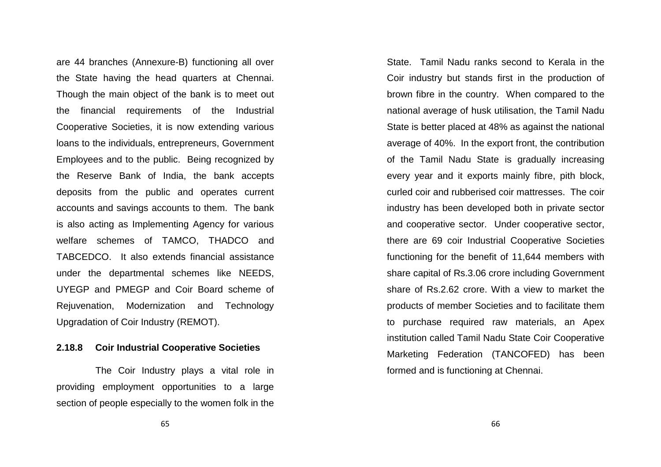are 44 branches (Annexure-B) functioning all over the State having the head quarters at Chennai. Though the main object of the bank is to meet out the financial requirements of the Industrial Cooperative Societies, it is now extending various loans to the individuals, entrepreneurs, GovernmentEmployees and to the public. Being recognized by the Reserve Bank of India, the bank accepts deposits from the public and operates current accounts and savings accounts to them. The bank is also acting as Implementing Agency for various welfare schemes of TAMCO, THADCO and TABCEDCO. It also extends financial assistance under the departmental schemes like NEEDS, UYEGP and PMEGP and Coir Board scheme of Rejuvenation, Modernization and Technology Upgradation of Coir Industry (REMOT).

## **2.18.8 Coir Industrial Cooperative Societies**

 The Coir Industry plays a vital role in providing employment opportunities to a large section of people especially to the women folk in the

State. Tamil Nadu ranks second to Kerala in the Coir industry but stands first in the production ofbrown fibre in the country. When compared to the national average of husk utilisation, the Tamil Nadu State is better placed at 48% as against the national average of 40%. In the export front, the contribution of the Tamil Nadu State is gradually increasing every year and it exports mainly fibre, pith block,curled coir and rubberised coir mattresses. The coir industry has been developed both in private sector and cooperative sector. Under cooperative sector, there are 69 coir Industrial Cooperative Societies functioning for the benefit of 11,644 members with share capital of Rs.3.06 crore including Governmentshare of Rs.2.62 crore. With a view to market the products of member Societies and to facilitate them to purchase required raw materials, an Apex institution called Tamil Nadu State Coir Cooperative Marketing Federation (TANCOFED) has been formed and is functioning at Chennai.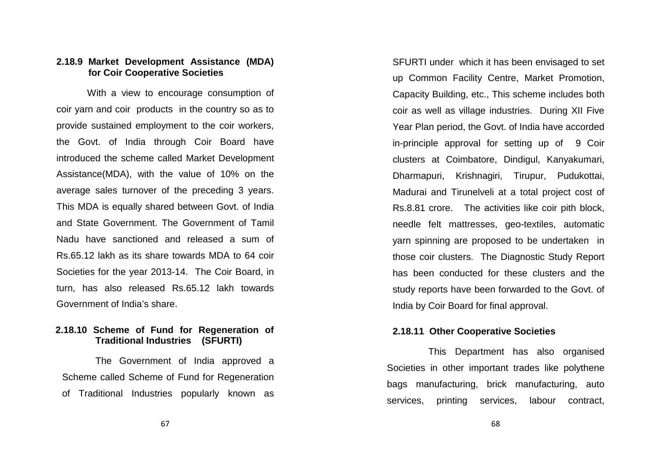#### **2.18.9 Market Development Assistance (MDA) for Coir Cooperative Societies**

 With a view to encourage consumption of coir yarn and coir products in the country so as to provide sustained employment to the coir workers, the Govt. of India through Coir Board have introduced the scheme called Market Development Assistance(MDA), with the value of 10% on the average sales turnover of the preceding 3 years. This MDA is equally shared between Govt. of India and State Government. The Government of Tamil Nadu have sanctioned and released a sum of Rs.65.12 lakh as its share towards MDA to 64 coir Societies for the year 2013-14. The Coir Board, inturn, has also released Rs.65.12 lakh towards Government of India's share.

## **2.18.10 Scheme of Fund for Regeneration of Traditional Industries (SFURTI)**

The Government of India approved a Scheme called Scheme of Fund for Regeneration of Traditional Industries popularly known as SFURTI under which it has been envisaged to set up Common Facility Centre, Market Promotion, Capacity Building, etc., This scheme includes both coir as well as village industries. During XII Five Year Plan period, the Govt. of India have accorded in-principle approval for setting up of 9 Coir clusters at Coimbatore, Dindigul, Kanyakumari, Dharmapuri, Krishnagiri, Tirupur, Pudukottai, Madurai and Tirunelveli at a total project cost of Rs.8.81 crore. The activities like coir pith block, needle felt mattresses, geo-textiles, automatic yarn spinning are proposed to be undertaken in those coir clusters. The Diagnostic Study Report has been conducted for these clusters and the study reports have been forwarded to the Govt. of India by Coir Board for final approval.

# **2.18.11 Other Cooperative Societies**

 This Department has also organised Societies in other important trades like polythene bags manufacturing, brick manufacturing, auto services, printing services, labour contract,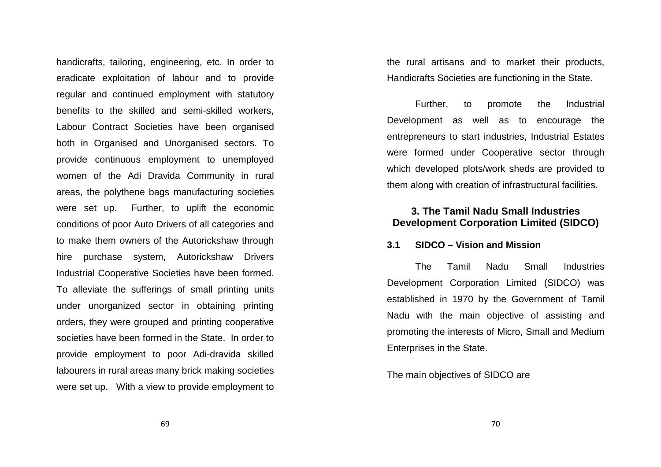handicrafts, tailoring, engineering, etc. In order to eradicate exploitation of labour and to provide regular and continued employment with statutory benefits to the skilled and semi-skilled workers, Labour Contract Societies have been organised both in Organised and Unorganised sectors. To provide continuous employment to unemployed women of the Adi Dravida Community in rural areas, the polythene bags manufacturing societies were set up. Further, to uplift the economic conditions of poor Auto Drivers of all categories and to make them owners of the Autorickshaw through hire purchase system, Autorickshaw Drivers Industrial Cooperative Societies have been formed. To alleviate the sufferings of small printing unitsunder unorganized sector in obtaining printing orders, they were grouped and printing cooperative societies have been formed in the State. In order to provide employment to poor Adi-dravida skilled labourers in rural areas many brick making societies were set up. With a view to provide employment to the rural artisans and to market their products, Handicrafts Societies are functioning in the State.

Further, to promote the Industrial Development as well as to encourage the entrepreneurs to start industries, Industrial Estates were formed under Cooperative sector through which developed plots/work sheds are provided to them along with creation of infrastructural facilities.

# **3. The Tamil Nadu Small Industries Development Corporation Limited (SIDCO)**

#### **3.1 SIDCO – Vision and Mission**

The Tamil Nadu Small Industries Development Corporation Limited (SIDCO) was established in 1970 by the Government of Tamil Nadu with the main objective of assisting and promoting the interests of Micro, Small and Medium Enterprises in the State.

The main objectives of SIDCO are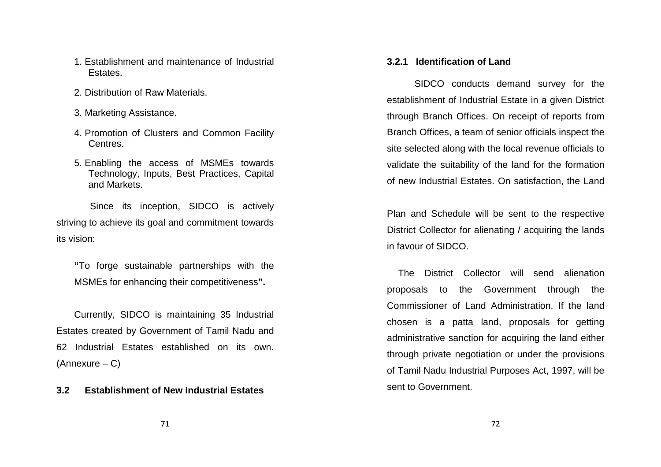- 1. Establishment and maintenance of Industrial Estates.
- 2. Distribution of Raw Materials.
- 3. Marketing Assistance.
- 4. Promotion of Clusters and Common Facility Centres.
- 5. Enabling the access of MSMEs towards Technology, Inputs, Best Practices, Capital and Markets.

 Since its inception, SIDCO is actively striving to achieve its goal and commitment towardsits vision:

**"**To forge sustainable partnerships with the MSMEs for enhancing their competitiveness**".** 

Currently, SIDCO is maintaining 35 Industrial Estates created by Government of Tamil Nadu and 62 Industrial Estates established on its own. (Annexure – C)

#### **3.2 Establishment of New Industrial Estates**

#### **3.2.1 Identification of Land**

SIDCO conducts demand survey for the establishment of Industrial Estate in a given District through Branch Offices. On receipt of reports from Branch Offices, a team of senior officials inspect the site selected along with the local revenue officials to validate the suitability of the land for the formation of new Industrial Estates. On satisfaction, the Land

Plan and Schedule will be sent to the respective District Collector for alienating / acquiring the lands in favour of SIDCO.

 The District Collector will send alienation proposals to the Government through the Commissioner of Land Administration. If the land chosen is a patta land, proposals for getting administrative sanction for acquiring the land either through private negotiation or under the provisionsof Tamil Nadu Industrial Purposes Act, 1997, will be sent to Government.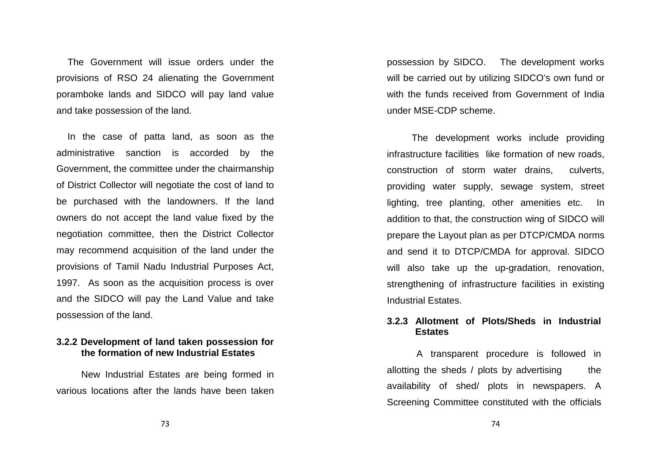The Government will issue orders under the provisions of RSO 24 alienating the Government poramboke lands and SIDCO will pay land value and take possession of the land.

 In the case of patta land, as soon as the administrative sanction is accorded by the Government, the committee under the chairmanship of District Collector will negotiate the cost of land to be purchased with the landowners. If the land owners do not accept the land value fixed by the negotiation committee, then the District Collector may recommend acquisition of the land under the provisions of Tamil Nadu Industrial Purposes Act, 1997. As soon as the acquisition process is over and the SIDCO will pay the Land Value and take possession of the land.

## **3.2.2 Development of land taken possession for the formation of new Industrial Estates**

New Industrial Estates are being formed in various locations after the lands have been taken possession by SIDCO. The development works will be carried out by utilizing SIDCO's own fund or with the funds received from Government of India under MSE-CDP scheme.

The development works include providing infrastructure facilities like formation of new roads, construction of storm water drains, culverts, providing water supply, sewage system, street lighting, tree planting, other amenities etc. In addition to that, the construction wing of SIDCO will prepare the Layout plan as per DTCP/CMDA norms and send it to DTCP/CMDA for approval. SIDCO will also take up the up-gradation, renovation, strengthening of infrastructure facilities in existing Industrial Estates.

#### **3.2.3 Allotment of Plots/Sheds in Industrial Estates**

 A transparent procedure is followed in allotting the sheds  $\ell$  plots by advertising the availability of shed/ plots in newspapers. A Screening Committee constituted with the officials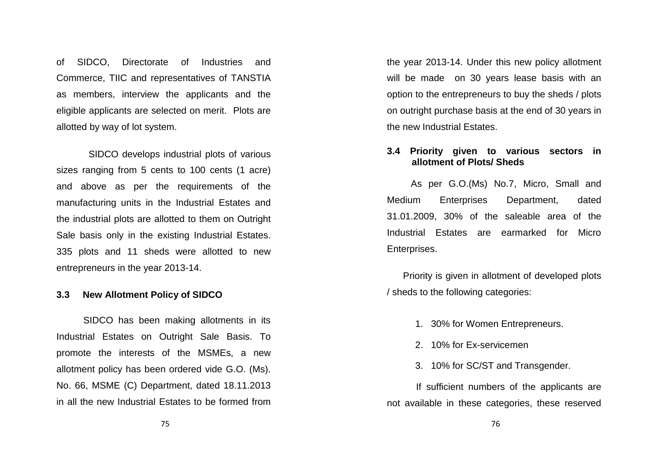of SIDCO, Directorate of Industries and Commerce, TIIC and representatives of TANSTIA as members, interview the applicants and the eligible applicants are selected on merit. Plots are allotted by way of lot system.

 SIDCO develops industrial plots of varioussizes ranging from 5 cents to 100 cents (1 acre) and above as per the requirements of the manufacturing units in the Industrial Estates and the industrial plots are allotted to them on Outright Sale basis only in the existing Industrial Estates.335 plots and 11 sheds were allotted to new entrepreneurs in the year 2013-14.

# **3.3 New Allotment Policy of SIDCO**

 SIDCO has been making allotments in its Industrial Estates on Outright Sale Basis. To promote the interests of the MSMEs, a new allotment policy has been ordered vide G.O. (Ms). No. 66, MSME (C) Department, dated 18.11.2013 in all the new Industrial Estates to be formed from

the year 2013-14. Under this new policy allotment will be made on 30 years lease basis with an option to the entrepreneurs to buy the sheds / plots on outright purchase basis at the end of 30 years in the new Industrial Estates.

### **3.4 Priority given to various sectors in allotment of Plots/ Sheds**

 As per G.O.(Ms) No.7, Micro, Small and Medium Enterprises Department, dated 31.01.2009, 30% of the saleable area of the Industrial Estates are earmarked for Micro Enterprises.

 Priority is given in allotment of developed plots / sheds to the following categories:

- 1. 30% for Women Entrepreneurs.
- 2. 10% for Ex-servicemen
- 3. 10% for SC/ST and Transgender.

 If sufficient numbers of the applicants are not available in these categories, these reserved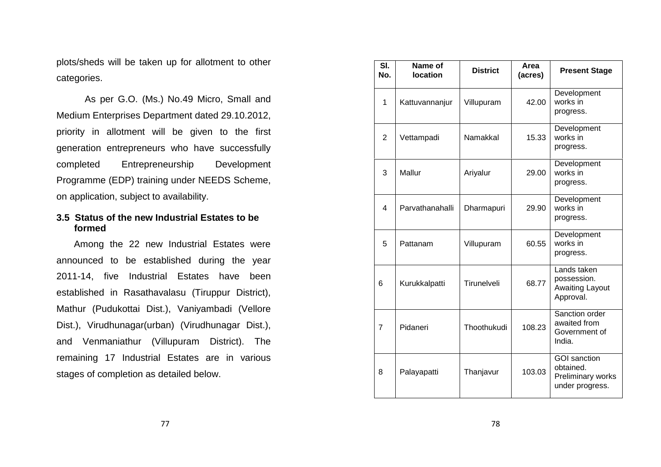plots/sheds will be taken up for allotment to othercategories.

 As per G.O. (Ms.) No.49 Micro, Small and Medium Enterprises Department dated 29.10.2012, priority in allotment will be given to the first generation entrepreneurs who have successfully completed Entrepreneurship Development Programme (EDP) training under NEEDS Scheme, on application, subject to availability.

## **3.5 Status of the new Industrial Estates to be formed**

Among the 22 new Industrial Estates were announced to be established during the year 2011-14, five Industrial Estates have been established in Rasathavalasu (Tiruppur District), Mathur (Pudukottai Dist.), Vaniyambadi (Vellore Dist.), Virudhunagar(urban) (Virudhunagar Dist.), and Venmaniathur (Villupuram District). The remaining 17 Industrial Estates are in various stages of completion as detailed below.

| SI.<br>No.     | Name of<br><b>location</b> | <b>District</b> | Area<br>(acres) | <b>Present Stage</b>                                              |
|----------------|----------------------------|-----------------|-----------------|-------------------------------------------------------------------|
| 1              | Kattuvannanjur             | Villupuram      | 42.00           | Development<br>works in<br>progress.                              |
| $\overline{2}$ | Vettampadi                 | Namakkal        | 15.33           | Development<br>works in<br>progress.                              |
| 3              | Mallur                     | Ariyalur        | 29.00           | Development<br>works in<br>progress.                              |
| 4              | Parvathanahalli            | Dharmapuri      | 29.90           | Development<br>works in<br>progress.                              |
| 5              | Pattanam                   | Villupuram      | 60.55           | Development<br>works in<br>progress.                              |
| 6              | Kurukkalpatti              | Tirunelveli     | 68.77           | Lands taken<br>possession.<br><b>Awaiting Layout</b><br>Approval. |
| $\overline{7}$ | Pidaneri                   | Thoothukudi     | 108.23          | Sanction order<br>awaited from<br>Government of<br>India.         |
| 8              | Palayapatti                | Thanjavur       | 103.03          | GOI sanction<br>obtained.<br>Preliminary works<br>under progress. |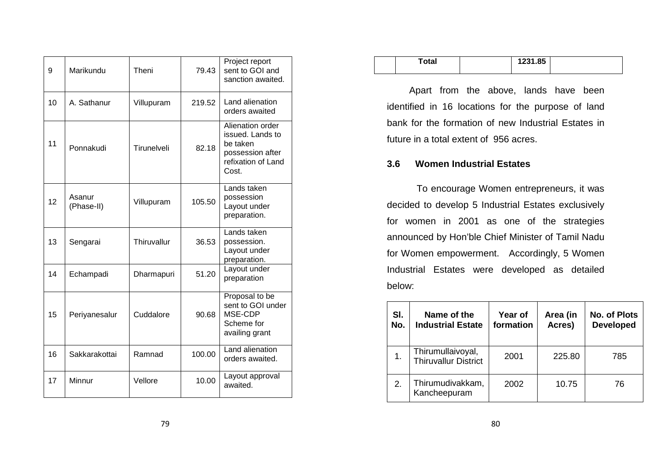| 9  | Marikundu            | Theni       | 79.43  | Project report<br>sent to GOI and<br>sanction awaited.                                              |
|----|----------------------|-------------|--------|-----------------------------------------------------------------------------------------------------|
| 10 | A. Sathanur          | Villupuram  | 219.52 | Land alienation<br>orders awaited                                                                   |
| 11 | Ponnakudi            | Tirunelveli | 82.18  | Alienation order<br>issued. Lands to<br>be taken<br>possession after<br>refixation of Land<br>Cost. |
| 12 | Asanur<br>(Phase-II) | Villupuram  | 105.50 | Lands taken<br>possession<br>Layout under<br>preparation.                                           |
| 13 | Sengarai             | Thiruvallur | 36.53  | Lands taken<br>possession.<br>Layout under<br>preparation.                                          |
| 14 | Echampadi            | Dharmapuri  | 51.20  | Layout under<br>preparation                                                                         |
| 15 | Periyanesalur        | Cuddalore   | 90.68  | Proposal to be<br>sent to GOI under<br>MSE-CDP<br>Scheme for<br>availing grant                      |
| 16 | Sakkarakottai        | Ramnad      | 100.00 | Land alienation<br>orders awaited.                                                                  |
| 17 | Minnur               | Vellore     | 10.00  | Layout approval<br>awaited.                                                                         |

| Total | 1231.85 |  |
|-------|---------|--|
|       |         |  |

Apart from the above, lands have been identified in 16 locations for the purpose of land bank for the formation of new Industrial Estates infuture in a total extent of 956 acres.

# **3.6 Women Industrial Estates**

 To encourage Women entrepreneurs, it was decided to develop 5 Industrial Estates exclusivelyfor women in 2001 as one of the strategies announced by Hon'ble Chief Minister of Tamil Nadu for Women empowerment. Accordingly, 5 Women Industrial Estates were developed as detailed below:

| SI.<br>No. | Name of the<br><b>Industrial Estate</b>   | Year of<br>formation | Area (in<br>Acres) | No. of Plots<br><b>Developed</b> |
|------------|-------------------------------------------|----------------------|--------------------|----------------------------------|
|            | Thirumullaivoyal,<br>Thiruvallur District | 2001                 | 225.80             | 785                              |
| 2.         | Thirumudivakkam,<br>Kancheepuram          | 2002                 | 10.75              | 76                               |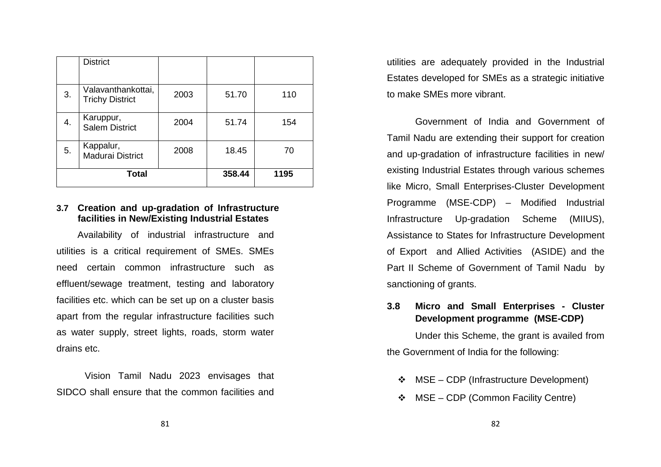|              | <b>District</b>                              |      |        |      |
|--------------|----------------------------------------------|------|--------|------|
| 3.           | Valavanthankottai,<br><b>Trichy District</b> | 2003 | 51.70  | 110  |
| 4.           | Karuppur,<br><b>Salem District</b>           | 2004 | 51.74  | 154  |
| 5.           | Kappalur,<br>Madurai District                | 2008 | 18.45  | 70   |
| <b>Total</b> |                                              |      | 358.44 | 1195 |

#### **3.7 Creation and up-gradation of Infrastructure facilities in New/Existing Industrial Estates**

 Availability of industrial infrastructure and utilities is a critical requirement of SMEs. SMEs need certain common infrastructure such as effluent/sewage treatment, testing and laboratory facilities etc. which can be set up on a cluster basis apart from the regular infrastructure facilities such as water supply, street lights, roads, storm water drains etc.

 Vision Tamil Nadu 2023 envisages that SIDCO shall ensure that the common facilities and utilities are adequately provided in the IndustrialEstates developed for SMEs as a strategic initiative to make SMEs more vibrant.

 Government of India and Government of Tamil Nadu are extending their support for creationand up-gradation of infrastructure facilities in new/ existing Industrial Estates through various schemeslike Micro, Small Enterprises-Cluster Development Programme (MSE-CDP) – Modified Industrial Infrastructure Up-gradation Scheme (MIIUS), Assistance to States for Infrastructure Developmentof Export and Allied Activities (ASIDE) and the Part II Scheme of Government of Tamil Nadu by sanctioning of grants.

# **3.8 Micro and Small Enterprises - Cluster Development programme (MSE-CDP)**

Under this Scheme, the grant is availed from the Government of India for the following:

- MSE CDP (Infrastructure Development)
- MSE CDP (Common Facility Centre)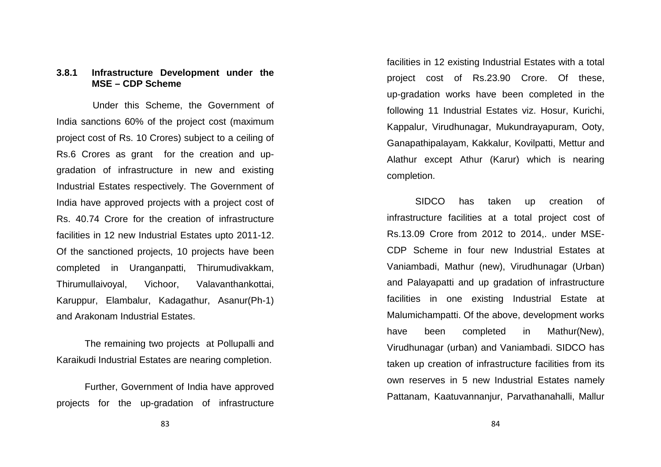#### **3.8.1 Infrastructure Development under the MSE – CDP Scheme**

 Under this Scheme, the Government of India sanctions 60% of the project cost (maximum project cost of Rs. 10 Crores) subject to a ceiling of Rs.6 Crores as grant for the creation and upgradation of infrastructure in new and existing Industrial Estates respectively. The Government of India have approved projects with a project cost ofRs. 40.74 Crore for the creation of infrastructure facilities in 12 new Industrial Estates upto 2011-12. Of the sanctioned projects, 10 projects have been completed in Uranganpatti, Thirumudivakkam, Thirumullaivoyal, Vichoor, Valavanthankottai, Karuppur, Elambalur, Kadagathur, Asanur(Ph-1) and Arakonam Industrial Estates.

The remaining two projects at Pollupalli and Karaikudi Industrial Estates are nearing completion.

 Further, Government of India have approved projects for the up-gradation of infrastructure facilities in 12 existing Industrial Estates with a total project cost of Rs.23.90 Crore. Of these, up-gradation works have been completed in the following 11 Industrial Estates viz. Hosur, Kurichi, Kappalur, Virudhunagar, Mukundrayapuram, Ooty, Ganapathipalayam, Kakkalur, Kovilpatti, Mettur and Alathur except Athur (Karur) which is nearing completion.

 SIDCO has taken up creation of infrastructure facilities at a total project cost of Rs.13.09 Crore from 2012 to 2014,. under MSE-CDP Scheme in four new Industrial Estates at Vaniambadi, Mathur (new), Virudhunagar (Urban) and Palayapatti and up gradation of infrastructure facilities in one existing Industrial Estate at Malumichampatti. Of the above, development works have been completed in Mathur(New), Virudhunagar (urban) and Vaniambadi. SIDCO has taken up creation of infrastructure facilities from its own reserves in 5 new Industrial Estates namely Pattanam, Kaatuvannanjur, Parvathanahalli, Mallur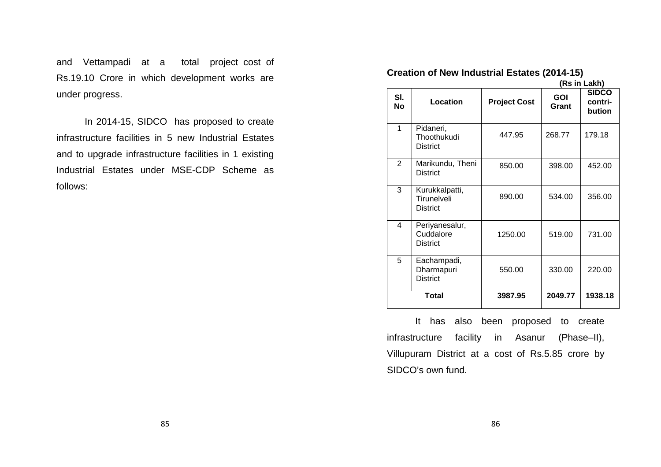and Vettampadi at a total project cost of Rs.19.10 Crore in which development works are under progress.

In 2014-15, SIDCO has proposed to create infrastructure facilities in 5 new Industrial Estates and to upgrade infrastructure facilities in 1 existing Industrial Estates under MSE-CDP Scheme as follows:

# **Creation of New Industrial Estates (2014-15)**

 **(Rs in Lakh)** 

|                  |                                                  |                     |                     | ,,,,,,,,,,,,,,,,                  |
|------------------|--------------------------------------------------|---------------------|---------------------|-----------------------------------|
| SI.<br><b>No</b> | Location                                         | <b>Project Cost</b> | <b>GOI</b><br>Grant | <b>SIDCO</b><br>contri-<br>bution |
| 1                | Pidaneri,<br>Thoothukudi<br><b>District</b>      | 447.95              | 268.77              | 179.18                            |
| $\overline{2}$   | Marikundu, Theni<br><b>District</b>              | 850.00              | 398.00              | 452.00                            |
| 3                | Kurukkalpatti,<br>Tirunelveli<br><b>District</b> | 890.00              | 534.00              | 356.00                            |
| 4                | Periyanesalur,<br>Cuddalore<br><b>District</b>   | 1250.00             | 519.00              | 731.00                            |
| 5                | Eachampadi,<br>Dharmapuri<br><b>District</b>     | 550.00              | 330.00              | 220.00                            |
|                  | <b>Total</b>                                     | 3987.95             | 2049.77             | 1938.18                           |

It has also been proposed to create infrastructure facility in Asanur (Phase–II), Villupuram District at a cost of Rs.5.85 crore by SIDCO's own fund.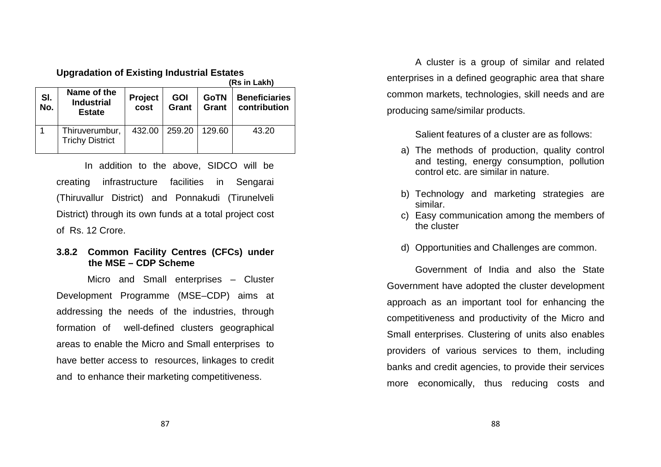**Upgradation of Existing Industrial Estates** 

|            |                                                   | (Rs in Lakh)    |                     |                      |                                      |
|------------|---------------------------------------------------|-----------------|---------------------|----------------------|--------------------------------------|
| SI.<br>No. | Name of the<br><b>Industrial</b><br><b>Estate</b> | Project<br>cost | <b>GOI</b><br>Grant | <b>GoTN</b><br>Grant | <b>Beneficiaries</b><br>contribution |
|            | Thiruverumbur,<br><b>Trichy District</b>          | 432.00          | 259.20              | 129.60               | 43.20                                |

In addition to the above, SIDCO will be creating infrastructure facilities in Sengarai (Thiruvallur District) and Ponnakudi (Tirunelveli District) through its own funds at a total project cost of Rs. 12 Crore.

#### **3.8.2 Common Facility Centres (CFCs) under the MSE – CDP Scheme**

 Micro and Small enterprises – Cluster Development Programme (MSE–CDP) aims at addressing the needs of the industries, through formation of well-defined clusters geographical areas to enable the Micro and Small enterprises tohave better access to resources, linkages to credit and to enhance their marketing competitiveness.

A cluster is a group of similar and related enterprises in a defined geographic area that sharecommon markets, technologies, skill needs and are producing same/similar products.

Salient features of a cluster are as follows:

- a) The methods of production, quality control and testing, energy consumption, pollution control etc. are similar in nature.
- b) Technology and marketing strategies are similar.
- c) Easy communication among the members of the cluster
- d) Opportunities and Challenges are common.

 Government of India and also the State Government have adopted the cluster development approach as an important tool for enhancing the competitiveness and productivity of the Micro and Small enterprises. Clustering of units also enablesproviders of various services to them, including banks and credit agencies, to provide their services more economically, thus reducing costs and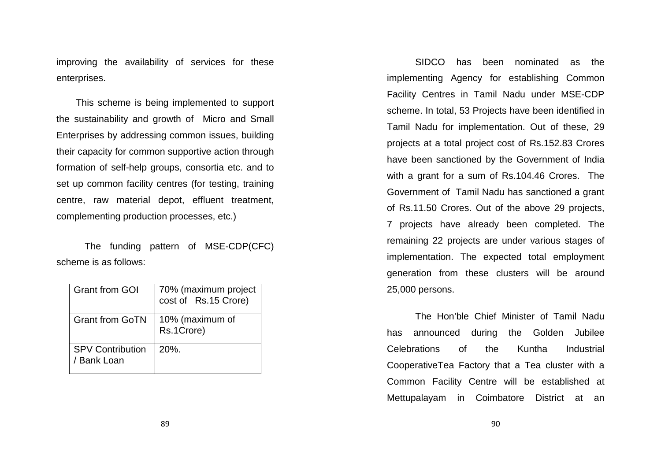improving the availability of services for these enterprises.

 This scheme is being implemented to support the sustainability and growth of Micro and Small Enterprises by addressing common issues, building their capacity for common supportive action throughformation of self-help groups, consortia etc. and to set up common facility centres (for testing, training centre, raw material depot, effluent treatment, complementing production processes, etc.)

The funding pattern of MSE-CDP(CFC) scheme is as follows:

| <b>Grant from GOI</b>                  | 70% (maximum project cost of Rs.15 Crore) |
|----------------------------------------|-------------------------------------------|
| <b>Grant from GoTN</b>                 | 10% (maximum of<br>Rs.1Crore)             |
| <b>SPV Contribution</b><br>/ Bank Loan | $20%$ .                                   |

SIDCO has been nominated as the implementing Agency for establishing Common Facility Centres in Tamil Nadu under MSE-CDP scheme. In total, 53 Projects have been identified in Tamil Nadu for implementation. Out of these, 29 projects at a total project cost of Rs.152.83 Crores have been sanctioned by the Government of India with a grant for a sum of Rs.104.46 Crores. The Government of Tamil Nadu has sanctioned a grant of Rs.11.50 Crores. Out of the above 29 projects, 7 projects have already been completed. The remaining 22 projects are under various stages of implementation. The expected total employment generation from these clusters will be around 25,000 persons.

The Hon'ble Chief Minister of Tamil Nadu has announced during the Golden Jubilee Celebrations of the Kuntha Industrial CooperativeTea Factory that a Tea cluster with a Common Facility Centre will be established at Mettupalayam in Coimbatore District at an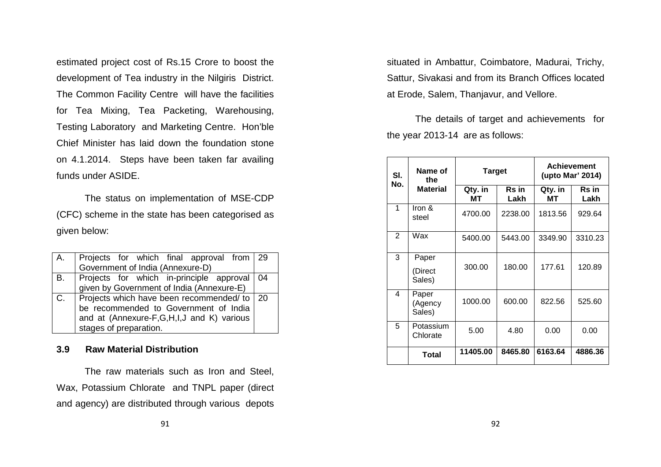estimated project cost of Rs.15 Crore to boost the development of Tea industry in the Nilgiris District. The Common Facility Centre will have the facilities for Tea Mixing, Tea Packeting, Warehousing, Testing Laboratory and Marketing Centre. Hon'ble Chief Minister has laid down the foundation stone on 4.1.2014. Steps have been taken far availing funds under ASIDE.

The status on implementation of MSE-CDP (CFC) scheme in the state has been categorised as given below:

| A. | Projects for which final approval from 29     |  |
|----|-----------------------------------------------|--|
|    | Government of India (Annexure-D)              |  |
| B. | Projects for which in-principle approval 04   |  |
|    | given by Government of India (Annexure-E)     |  |
| C. | Projects which have been recommended/ to   20 |  |
|    | be recommended to Government of India         |  |
|    | and at (Annexure-F,G,H,I,J and K) various     |  |
|    | stages of preparation.                        |  |

## **3.9 Raw Material Distribution**

The raw materials such as Iron and Steel, Wax, Potassium Chlorate and TNPL paper (direct and agency) are distributed through various depots situated in Ambattur, Coimbatore, Madurai, Trichy, Sattur, Sivakasi and from its Branch Offices located at Erode, Salem, Thanjavur, and Vellore.

The details of target and achievements for the year 2013-14 are as follows:

| SI.<br>No.     | Name of<br>the             | Target        |                      | <b>Achievement</b><br>(upto Mar' 2014) |                      |
|----------------|----------------------------|---------------|----------------------|----------------------------------------|----------------------|
|                | <b>Material</b>            | Qty. in<br>мт | <b>Rs</b> in<br>Lakh | Qty. in<br>мт                          | <b>Rs</b> in<br>Lakh |
| 1              | Iron &<br>steel            | 4700.00       | 2238.00              | 1813.56                                | 929.64               |
| $\overline{2}$ | Wax                        | 5400.00       | 5443.00              | 3349.90                                | 3310.23              |
| 3              | Paper<br>(Direct<br>Sales) | 300.00        | 180.00               | 177.61                                 | 120.89               |
| 4              | Paper<br>(Agency<br>Sales) | 1000.00       | 600.00               | 822.56                                 | 525.60               |
| 5              | Potassium<br>Chlorate      | 5.00          | 4.80                 | 0.00                                   | 0.00                 |
|                | Total                      | 11405.00      | 8465.80              | 6163.64                                | 4886.36              |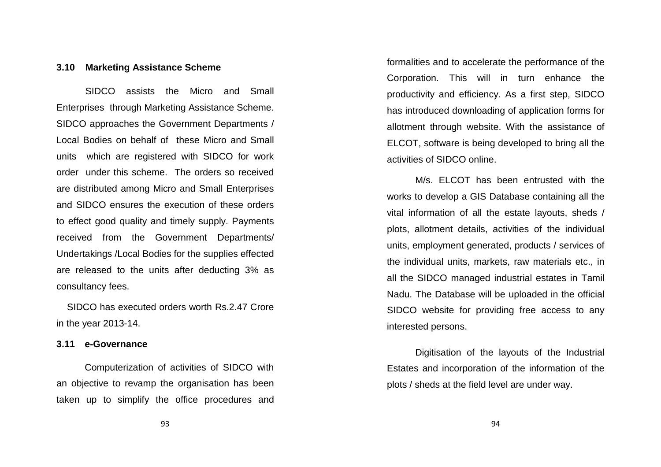#### **3.10 Marketing Assistance Scheme**

 SIDCO assists the Micro and Small Enterprises through Marketing Assistance Scheme. SIDCO approaches the Government Departments / Local Bodies on behalf of these Micro and Small units which are registered with SIDCO for work order under this scheme. The orders so received are distributed among Micro and Small Enterprises and SIDCO ensures the execution of these orders to effect good quality and timely supply. Payments received from the Government Departments/ Undertakings /Local Bodies for the supplies effected are released to the units after deducting 3% as consultancy fees.

 SIDCO has executed orders worth Rs.2.47 Crore in the year 2013-14.

#### **3.11 e-Governance**

Computerization of activities of SIDCO with an objective to revamp the organisation has been taken up to simplify the office procedures and formalities and to accelerate the performance of the Corporation. This will in turn enhance the productivity and efficiency. As a first step, SIDCOhas introduced downloading of application forms forallotment through website. With the assistance of ELCOT, software is being developed to bring all theactivities of SIDCO online.

M/s. ELCOT has been entrusted with the works to develop a GIS Database containing all the vital information of all the estate layouts, sheds / plots, allotment details, activities of the individual units, employment generated, products / services ofthe individual units, markets, raw materials etc., in all the SIDCO managed industrial estates in Tamil Nadu. The Database will be uploaded in the officialSIDCO website for providing free access to any interested persons.

Digitisation of the layouts of the Industrial Estates and incorporation of the information of theplots / sheds at the field level are under way.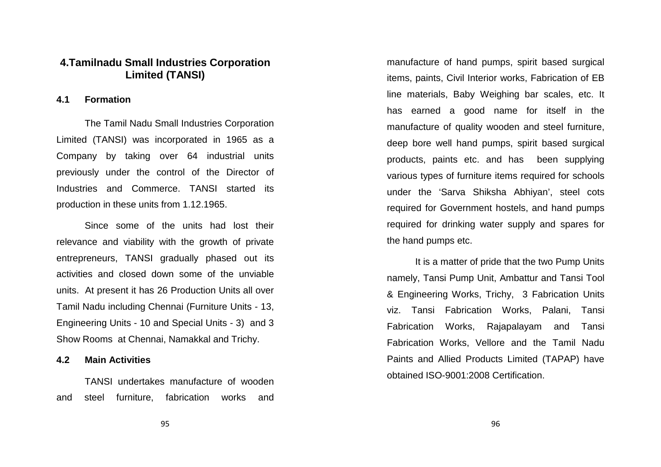# **4.Tamilnadu Small Industries Corporation Limited (TANSI)**

#### **4.1 Formation**

The Tamil Nadu Small Industries Corporation Limited (TANSI) was incorporated in 1965 as a Company by taking over 64 industrial units previously under the control of the Director of Industries and Commerce. TANSI started its production in these units from 1.12.1965.

 Since some of the units had lost their relevance and viability with the growth of private entrepreneurs, TANSI gradually phased out its activities and closed down some of the unviable units. At present it has 26 Production Units all over Tamil Nadu including Chennai (Furniture Units - 13,Engineering Units - 10 and Special Units - 3) and 3 Show Rooms at Chennai, Namakkal and Trichy.

#### **4.2 Main Activities**

TANSI undertakes manufacture of wooden and steel furniture, fabrication works and

manufacture of hand pumps, spirit based surgical items, paints, Civil Interior works, Fabrication of EB line materials, Baby Weighing bar scales, etc. It has earned a good name for itself in the manufacture of quality wooden and steel furniture, deep bore well hand pumps, spirit based surgical products, paints etc. and has been supplying various types of furniture items required for schools under the 'Sarva Shiksha Abhiyan', steel cots required for Government hostels, and hand pumps required for drinking water supply and spares for the hand pumps etc.

It is a matter of pride that the two Pump Units namely, Tansi Pump Unit, Ambattur and Tansi Tool & Engineering Works, Trichy, 3 Fabrication Units viz. Tansi Fabrication Works, Palani, Tansi Fabrication Works, Rajapalayam and Tansi Fabrication Works, Vellore and the Tamil Nadu Paints and Allied Products Limited (TAPAP) have obtained ISO-9001:2008 Certification.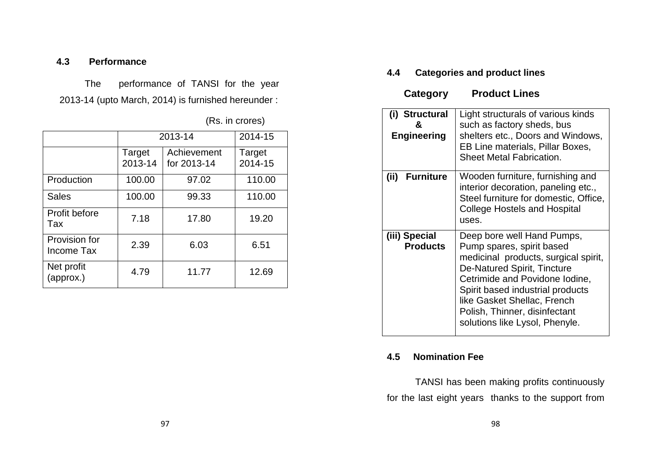# **4.3 Performance**

The performance of TANSI for the year 2013-14 (upto March, 2014) is furnished hereunder :

|  | (Rs. in crores) |
|--|-----------------|
|--|-----------------|

|                             | 2013-14                                         | 2014-15 |                   |
|-----------------------------|-------------------------------------------------|---------|-------------------|
|                             | Achievement<br>Target<br>2013-14<br>for 2013-14 |         | Target<br>2014-15 |
| Production                  | 100.00                                          | 97.02   | 110.00            |
| <b>Sales</b>                | 100.00                                          | 99.33   | 110.00            |
| Profit before<br>Tax        | 7.18                                            | 17.80   | 19.20             |
| Provision for<br>Income Tax | 2.39                                            | 6.03    | 6.51              |
| Net profit<br>(approx.)     | 4.79                                            | 11.77   | 12.69             |

# **4.4 Categories and product lines**

# **Category Product Lines**

| (i) Structural<br>х.<br><b>Engineering</b> | Light structurals of various kinds<br>such as factory sheds, bus<br>shelters etc., Doors and Windows,<br>EB Line materials, Pillar Boxes,<br><b>Sheet Metal Fabrication.</b>                                                                                                                           |
|--------------------------------------------|--------------------------------------------------------------------------------------------------------------------------------------------------------------------------------------------------------------------------------------------------------------------------------------------------------|
| <b>Furniture</b><br>(ii)                   | Wooden furniture, furnishing and<br>interior decoration, paneling etc.,<br>Steel furniture for domestic, Office,<br><b>College Hostels and Hospital</b><br>uses.                                                                                                                                       |
| (iii) Special<br><b>Products</b>           | Deep bore well Hand Pumps,<br>Pump spares, spirit based<br>medicinal products, surgical spirit,<br>De-Natured Spirit, Tincture<br>Cetrimide and Povidone Iodine,<br>Spirit based industrial products<br>like Gasket Shellac, French<br>Polish, Thinner, disinfectant<br>solutions like Lysol, Phenyle. |

# **4.5 Nomination Fee**

TANSI has been making profits continuously for the last eight years thanks to the support from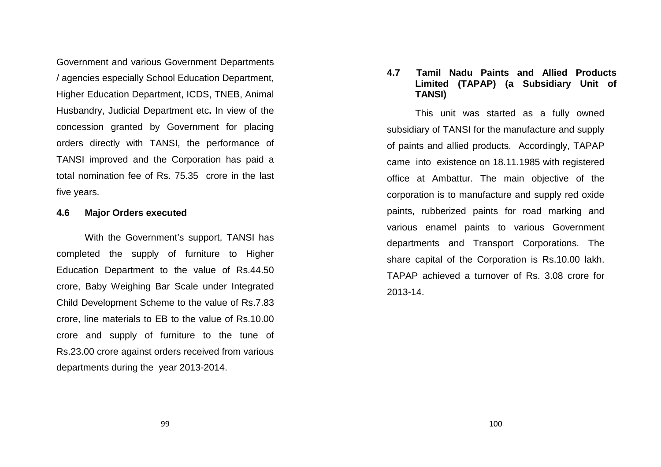Government and various Government Departments / agencies especially School Education Department, Higher Education Department, ICDS, TNEB, Animal Husbandry, Judicial Department etc**.** In view of the concession granted by Government for placing orders directly with TANSI, the performance of TANSI improved and the Corporation has paid a total nomination fee of Rs. 75.35 crore in the last five years.

#### **4.6 Major Orders executed**

With the Government's support, TANSI has completed the supply of furniture to Higher Education Department to the value of Rs.44.50 crore, Baby Weighing Bar Scale under Integrated Child Development Scheme to the value of Rs.7.83 crore, line materials to EB to the value of Rs.10.00 crore and supply of furniture to the tune of Rs.23.00 crore against orders received from variousdepartments during the year 2013-2014.

## **4.7 Tamil Nadu Paints and Allied Products Limited (TAPAP) (a Subsidiary Unit of TANSI)**

 This unit was started as a fully owned subsidiary of TANSI for the manufacture and supply of paints and allied products. Accordingly, TAPAP came into existence on 18.11.1985 with registeredoffice at Ambattur. The main objective of the corporation is to manufacture and supply red oxide paints, rubberized paints for road marking and various enamel paints to various Government departments and Transport Corporations. The share capital of the Corporation is Rs.10.00 lakh. TAPAP achieved a turnover of Rs. 3.08 crore for 2013-14.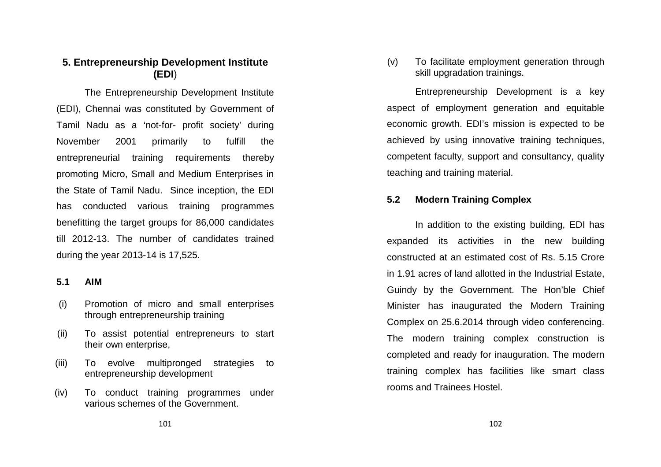# **5. Entrepreneurship Development Institute (EDI**)

The Entrepreneurship Development Institute (EDI), Chennai was constituted by Government of Tamil Nadu as a 'not-for- profit society' during November 2001 primarily to fulfill the entrepreneurial training requirements thereby promoting Micro, Small and Medium Enterprises in the State of Tamil Nadu. Since inception, the EDI has conducted various training programmes benefitting the target groups for 86,000 candidatestill 2012-13. The number of candidates trained during the year 2013-14 is 17,525.

#### **5.1 AIM**

- (i) Promotion of micro and small enterprises through entrepreneurship training
- (ii) To assist potential entrepreneurs to start their own enterprise,
- (iii) To evolve multipronged strategies to entrepreneurship development
- (iv) To conduct training programmes under various schemes of the Government.

(v) To facilitate employment generation through skill upgradation trainings.

Entrepreneurship Development is a key aspect of employment generation and equitable economic growth. EDI's mission is expected to be achieved by using innovative training techniques, competent faculty, support and consultancy, qualityteaching and training material.

# **5.2 Modern Training Complex**

In addition to the existing building, EDI has expanded its activities in the new building constructed at an estimated cost of Rs. 5.15 Crore in 1.91 acres of land allotted in the Industrial Estate, Guindy by the Government. The Hon'ble Chief Minister has inaugurated the Modern Training Complex on 25.6.2014 through video conferencing. The modern training complex construction is completed and ready for inauguration. The modern training complex has facilities like smart class rooms and Trainees Hostel.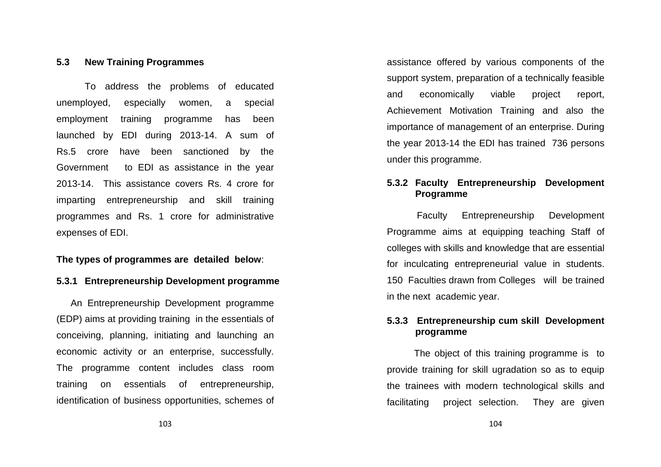#### **5.3 New Training Programmes**

 To address the problems of educated unemployed, especially women, a special employment training programme has been launched by EDI during 2013-14. A sum of Rs.5 crore have been sanctioned by the Government to EDI as assistance in the year 2013-14. This assistance covers Rs. 4 crore for imparting entrepreneurship and skill training programmes and Rs. 1 crore for administrative expenses of EDI.

#### **The types of programmes are detailed below**:

#### **5.3.1 Entrepreneurship Development programme**

An Entrepreneurship Development programme (EDP) aims at providing training in the essentials of conceiving, planning, initiating and launching an economic activity or an enterprise, successfully. The programme content includes class room training on essentials of entrepreneurship, identification of business opportunities, schemes of

assistance offered by various components of the support system, preparation of a technically feasible and economically viable project report, Achievement Motivation Training and also the importance of management of an enterprise. During the year 2013-14 the EDI has trained 736 persons under this programme.

### **5.3.2 Faculty Entrepreneurship Development Programme**

 Faculty Entrepreneurship Development Programme aims at equipping teaching Staff of colleges with skills and knowledge that are essential for inculcating entrepreneurial value in students. 150 Faculties drawn from Colleges will be trained in the next academic year.

## **5.3.3 Entrepreneurship cum skill Development programme**

 The object of this training programme is to provide training for skill ugradation so as to equipthe trainees with modern technological skills and facilitating project selection. They are given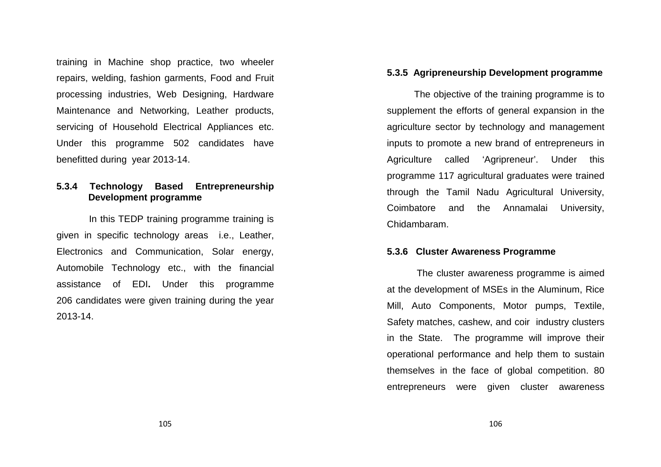training in Machine shop practice, two wheeler repairs, welding, fashion garments, Food and Fruit processing industries, Web Designing, Hardware Maintenance and Networking, Leather products, servicing of Household Electrical Appliances etc. Under this programme 502 candidates have benefitted during year 2013-14.

#### **5.3.4 Technology Based Entrepreneurship Development programme**

In this TEDP training programme training is given in specific technology areas i.e., Leather, Electronics and Communication, Solar energy, Automobile Technology etc., with the financial assistance of EDI**.** Under this programme 206 candidates were given training during the year 2013-14.

#### **5.3.5 Agripreneurship Development programme**

 The objective of the training programme is to supplement the efforts of general expansion in the agriculture sector by technology and management inputs to promote a new brand of entrepreneurs in Agriculture called 'Agripreneur'. Under this programme 117 agricultural graduates were trained through the Tamil Nadu Agricultural University, Coimbatore and the Annamalai University, Chidambaram.

#### **5.3.6 Cluster Awareness Programme**

 The cluster awareness programme is aimed at the development of MSEs in the Aluminum, Rice Mill, Auto Components, Motor pumps, Textile, Safety matches, cashew, and coir industry clustersin the State. The programme will improve their operational performance and help them to sustain themselves in the face of global competition. 80 entrepreneurs were given cluster awareness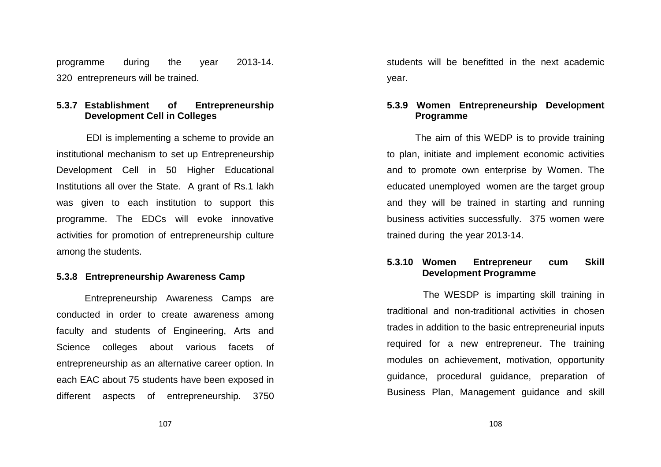programme during the year 2013-14. 320 entrepreneurs will be trained.

# **5.3.7 Establishment of Entrepreneurship Development Cell in Colleges**

 EDI is implementing a scheme to provide an institutional mechanism to set up Entrepreneurship Development Cell in 50 Higher Educational Institutions all over the State. A grant of Rs.1 lakh was given to each institution to support this programme. The EDCs will evoke innovative activities for promotion of entrepreneurship culture among the students.

#### **5.3.8 Entrepreneurship Awareness Camp**

Entrepreneurship Awareness Camps are conducted in order to create awareness among faculty and students of Engineering, Arts and Science colleges about various facets of entrepreneurship as an alternative career option. In each EAC about 75 students have been exposed in different aspects of entrepreneurship. 3750 students will be benefitted in the next academic year.

#### **5.3.9 Women Entre**p**reneurship Develo**p**ment Programme**

The aim of this WEDP is to provide training to plan, initiate and implement economic activitiesand to promote own enterprise by Women. The educated unemployed women are the target group and they will be trained in starting and running business activities successfully. 375 women were trained during the year 2013-14.

#### **5.3.10 Women Entre**p**reneur cum Skill Develo**p**ment Programme**

 The WESDP is imparting skill training in traditional and non-traditional activities in chosen trades in addition to the basic entrepreneurial inputs required for a new entrepreneur. The training modules on achievement, motivation, opportunity guidance, procedural guidance, preparation of Business Plan, Management guidance and skill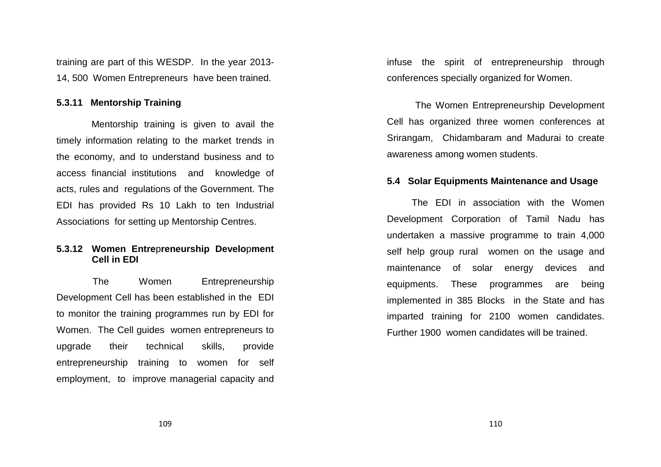training are part of this WESDP. In the year 2013-14, 500 Women Entrepreneurs have been trained.

#### **5.3.11 Mentorship Training**

 Mentorship training is given to avail the timely information relating to the market trends inthe economy, and to understand business and to access financial institutions and knowledge of acts, rules and regulations of the Government. TheEDI has provided Rs 10 Lakh to ten Industrial Associations for setting up Mentorship Centres.

#### **5.3.12 Women Entre**p**reneurship Develo**p**ment Cell in EDI**

The Women Entrepreneurship Development Cell has been established in the EDI to monitor the training programmes run by EDI for Women. The Cell guides women entrepreneurs to upgrade their technical skills, provide entrepreneurship training to women for self employment, to improve managerial capacity and infuse the spirit of entrepreneurship through conferences specially organized for Women.

 The Women Entrepreneurship Development Cell has organized three women conferences at Srirangam, Chidambaram and Madurai to create awareness among women students.

#### **5.4 Solar Equipments Maintenance and Usage**

The EDI in association with the Women Development Corporation of Tamil Nadu has undertaken a massive programme to train 4,000 self help group rural women on the usage and maintenance of solar energy devices and equipments. These programmes are being implemented in 385 Blocks in the State and has imparted training for 2100 women candidates. Further 1900 women candidates will be trained.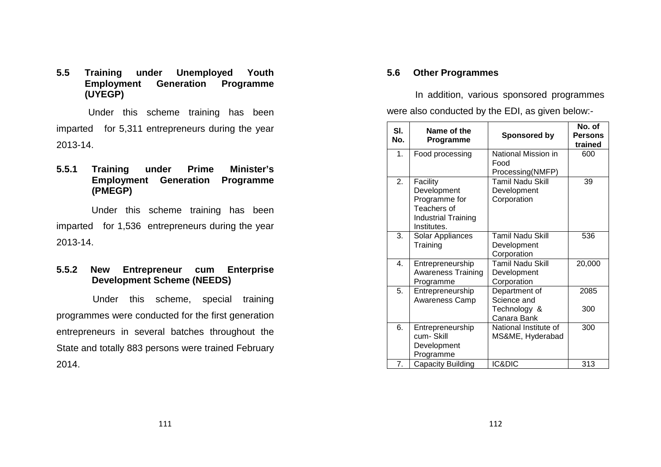**5.5 Training under Unemployed Youth Employment Generation Programme (UYEGP)** 

 Under this scheme training has been imparted for 5,311 entrepreneurs during the year 2013-14.

**5.5.1 Training under Prime Minister's Employment Generation Programme (PMEGP)** 

 Under this scheme training has been imparted for 1,536 entrepreneurs during the year2013-14.

**5.5.2 New Entrepreneur cum Enterprise Development Scheme (NEEDS)** 

 Under this scheme, special training programmes were conducted for the first generation entrepreneurs in several batches throughout the State and totally 883 persons were trained February2014.

## **5.6 Other Programmes**

In addition, various sponsored programmes were also conducted by the EDI, as given below:-

| SI.<br>No. | Name of the<br>Programme   | <b>Sponsored by</b>         | No. of<br><b>Persons</b><br>trained |
|------------|----------------------------|-----------------------------|-------------------------------------|
| 1.         | Food processing            | National Mission in<br>Food | 600                                 |
|            |                            | Processing(NMFP)            |                                     |
| 2.         | Facility                   | <b>Tamil Nadu Skill</b>     | 39                                  |
|            | Development                | Development                 |                                     |
|            | Programme for              | Corporation                 |                                     |
|            | Teachers of                |                             |                                     |
|            | <b>Industrial Training</b> |                             |                                     |
|            | Institutes.                |                             |                                     |
| 3.         | Solar Appliances           | <b>Tamil Nadu Skill</b>     | 536                                 |
|            | Training                   | Development                 |                                     |
|            |                            | Corporation                 |                                     |
| 4.         | Entrepreneurship           | Tamil Nadu Skill            | 20,000                              |
|            | <b>Awareness Training</b>  | Development                 |                                     |
|            | Programme                  | Corporation                 |                                     |
| 5.         | Entrepreneurship           | Department of               | 2085                                |
|            | Awareness Camp             | Science and                 |                                     |
|            |                            | Technology &                | 300                                 |
|            |                            | Canara Bank                 |                                     |
| 6.         | Entrepreneurship           | National Institute of       | 300                                 |
|            | cum-Skill                  | MS&ME, Hyderabad            |                                     |
|            | Development                |                             |                                     |
|            | Programme                  |                             |                                     |
| 7.         | Capacity Building          | IC&DIC                      | 313                                 |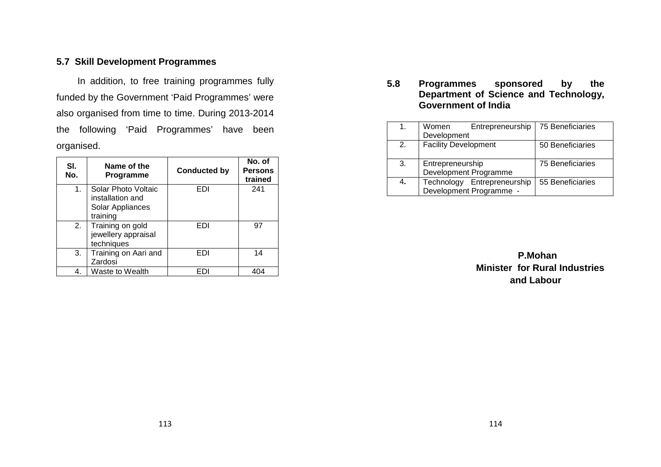# **5.7 Skill Development Programmes**

 In addition, to free training programmes fully funded by the Government 'Paid Programmes' were also organised from time to time. During 2013-2014 the following 'Paid Programmes' have been organised.

| SI.<br>No.     | Name of the<br>Programme                                                | <b>Conducted by</b> | No. of<br><b>Persons</b><br>trained |
|----------------|-------------------------------------------------------------------------|---------------------|-------------------------------------|
| 1 <sub>1</sub> | Solar Photo Voltaic<br>installation and<br>Solar Appliances<br>training | EDI                 | 241                                 |
| 2.             | Training on gold<br>jewellery appraisal<br>techniques                   | EDI                 | 97                                  |
| 3.             | Training on Aari and<br>Zardosi                                         | FDI                 | 14                                  |
|                | Waste to Wealth                                                         |                     |                                     |

**5.8 Programmes sponsored by the Department of Science and Technology, Government of India** 

| 1 <sub>1</sub> | Women                       | Entrepreneurship            | 75 Beneficiaries |
|----------------|-----------------------------|-----------------------------|------------------|
|                | Development                 |                             |                  |
| 2.             | <b>Facility Development</b> |                             | 50 Beneficiaries |
|                |                             |                             |                  |
| 3.             | Entrepreneurship            |                             | 75 Beneficiaries |
|                |                             | Development Programme       |                  |
| 4.             |                             | Technology Entrepreneurship | 55 Beneficiaries |
|                |                             | Development Programme -     |                  |

 **P.Mohan Minister for Rural Industries and Labour**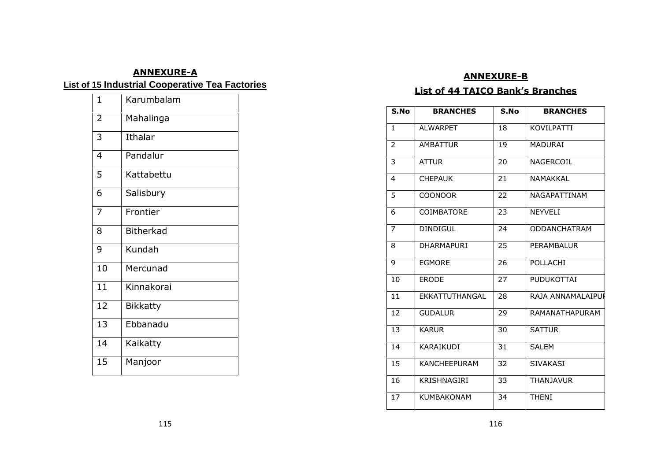# **ANNEXURE-AList of 15 Industrial Cooperative Tea Factories**

| $\overline{1}$ | Karumbalam       |
|----------------|------------------|
| $\overline{2}$ | Mahalinga        |
| 3              | Ithalar          |
| 4              | Pandalur         |
| 5              | Kattabettu       |
| 6              | Salisbury        |
| 7              | Frontier         |
| 8              | <b>Bitherkad</b> |
| 9              | Kundah           |
| 10             | Mercunad         |
| 11             | Kinnakorai       |
| 12             | <b>Bikkatty</b>  |
| 13             | Ebbanadu         |
| 14             | Kaikatty         |
| 15             | Manjoor          |

### **ANNEXURE-B**

#### **List of 44 TAICO Bank's Branches**

| S.No         | <b>BRANCHES</b>     | S.No | <b>BRANCHES</b>     |
|--------------|---------------------|------|---------------------|
| $\mathbf{1}$ | <b>ALWARPET</b>     | 18   | KOVILPATTI          |
| 2            | <b>AMBATTUR</b>     | 19   | <b>MADURAI</b>      |
| 3            | <b>ATTUR</b>        | 20   | NAGERCOIL           |
| 4            | <b>CHEPAUK</b>      | 21   | NAMAKKAL            |
| 5            | <b>COONOOR</b>      | 22   | NAGAPATTINAM        |
| 6            | COIMBATORE          | 23   | NEYVELI             |
| 7            | <b>DINDIGUL</b>     | 24   | <b>ODDANCHATRAM</b> |
| 8            | <b>DHARMAPURI</b>   | 25   | PERAMBALUR          |
| 9            | <b>EGMORE</b>       | 26   | POLLACHI            |
| 10           | <b>ERODE</b>        | 27   | <b>PUDUKOTTAI</b>   |
| 11           | EKKATTUTHANGAL      | 28   | RAJA ANNAMALAIPUI   |
| 12           | <b>GUDALUR</b>      | 29   | RAMANATHAPURAM      |
| 13           | <b>KARUR</b>        | 30   | <b>SATTUR</b>       |
| 14           | KARAIKUDI           | 31   | <b>SALEM</b>        |
| 15           | <b>KANCHEEPURAM</b> | 32   | <b>SIVAKASI</b>     |
| 16           | KRISHNAGIRI         | 33   | <b>THANJAVUR</b>    |
| 17           | <b>KUMBAKONAM</b>   | 34   | <b>THENI</b>        |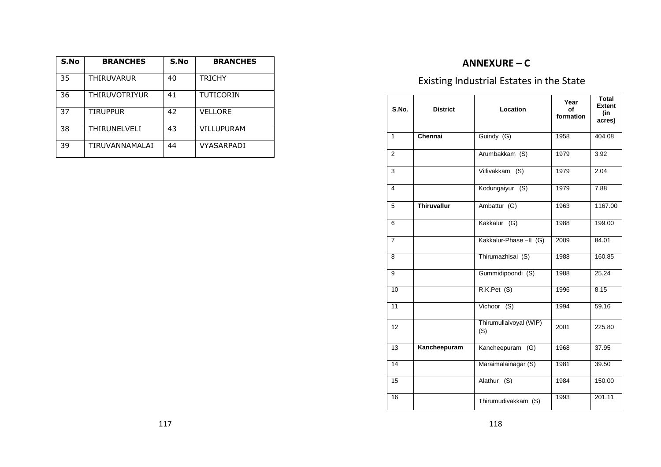| S.No | <b>BRANCHES</b> | S.No | <b>BRANCHES</b>   |
|------|-----------------|------|-------------------|
| 35   | THIRUVARUR      | 40   | <b>TRICHY</b>     |
| 36   | THIRUVOTRIYUR   | 41   | <b>TUTICORIN</b>  |
| 37   | TIRUPPUR        | 42   | <b>VELLORE</b>    |
| 38   | THIRUNELVELI    | 43   | <b>VILLUPURAM</b> |
| 39   | TIRUVANNAMALAI  | 44   | VYASARPADI        |

# **ANNEXURE – C**

# Existing Industrial Estates in the State

| S.No.          | <b>District</b>    | Location                      | Year<br>of<br>formation | <b>Total</b><br><b>Extent</b><br>(in<br>acres) |
|----------------|--------------------|-------------------------------|-------------------------|------------------------------------------------|
| $\mathbf{1}$   | Chennai            | Guindy (G)                    | 1958                    | 404.08                                         |
| $\overline{2}$ |                    | Arumbakkam (S)                | 1979                    | 3.92                                           |
| 3              |                    | Villivakkam (S)               | 1979                    | 2.04                                           |
| 4              |                    | Kodungaiyur (S)               | 1979                    | 7.88                                           |
| 5              | <b>Thiruvallur</b> | Ambattur (G)                  | 1963                    | 1167.00                                        |
| 6              |                    | Kakkalur (G)                  | 1988                    | 199.00                                         |
| $\overline{7}$ |                    | Kakkalur-Phase-II (G)         | 2009                    | 84.01                                          |
| 8              |                    | Thirumazhisai (S)             | 1988                    | 160.85                                         |
| 9              |                    | Gummidipoondi (S)             | 1988                    | 25.24                                          |
| 10             |                    | R.K.Pet (S)                   | 1996                    | 8.15                                           |
| 11             |                    | $Vichoor$ (S)                 | 1994                    | 59.16                                          |
| 12             |                    | Thirumullaivoyal (WIP)<br>(S) | 2001                    | 225.80                                         |
| 13             | Kancheepuram       | Kancheepuram (G)              | 1968                    | 37.95                                          |
| 14             |                    | Maraimalainagar (S)           | 1981                    | 39.50                                          |
| 15             |                    | Alathur (S)                   | 1984                    | 150.00                                         |
| 16             |                    | Thirumudivakkam (S)           | 1993                    | 201.11                                         |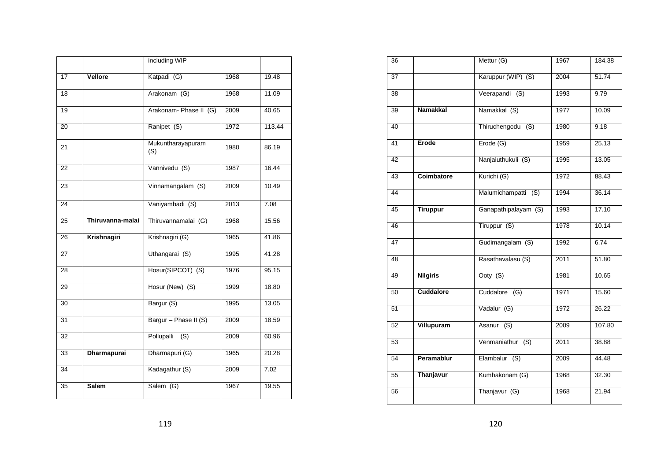|                 |                    | including WIP            |      |                    |
|-----------------|--------------------|--------------------------|------|--------------------|
| 17              | Vellore            | Katpadi (G)              | 1968 | 19.48              |
| 18              |                    | Arakonam (G)             | 1968 | 11.09              |
| 19              |                    | Arakonam- Phase II (G)   | 2009 | 40.65              |
| $\overline{20}$ |                    | Ranipet (S)              | 1972 | 113.44             |
| 21              |                    | Mukuntharayapuram<br>(S) | 1980 | 86.19              |
| 22              |                    | Vannivedu (S)            | 1987 | $16.\overline{44}$ |
| 23              |                    | Vinnamangalam (S)        | 2009 | 10.49              |
| 24              |                    | Vaniyambadi (S)          | 2013 | 7.08               |
| 25              | Thiruvanna-malai   | Thiruvannamalai (G)      | 1968 | 15.56              |
| 26              | Krishnagiri        | Krishnagiri (G)          | 1965 | 41.86              |
| 27              |                    | Uthangarai (S)           | 1995 | 41.28              |
| $\overline{28}$ |                    | Hosur(SIPCOT) (S)        | 1976 | 95.15              |
| 29              |                    | Hosur (New) (S)          | 1999 | 18.80              |
| 30              |                    | Bargur (S)               | 1995 | 13.05              |
| 31              |                    | Bargur - Phase II (S)    | 2009 | 18.59              |
| $\overline{32}$ |                    | Pollupalli (S)           | 2009 | 60.96              |
| $\overline{33}$ | <b>Dharmapurai</b> | Dharmapuri (G)           | 1965 | 20.28              |
| 34              |                    | Kadagathur (S)           | 2009 | 7.02               |
| 35              | <b>Salem</b>       | Salem (G)                | 1967 | 19.55              |

| 36              |                  | Mettur (G)           | 1967 | 184.38 |
|-----------------|------------------|----------------------|------|--------|
| $\overline{37}$ |                  | Karuppur (WIP) (S)   | 2004 | 51.74  |
| 38              |                  | Veerapandi (S)       | 1993 | 9.79   |
| 39              | <b>Namakkal</b>  | Namakkal (S)         | 1977 | 10.09  |
| $\overline{40}$ |                  | Thiruchengodu (S)    | 1980 | 9.18   |
| 41              | Erode            | Erode (G)            | 1959 | 25.13  |
| 42              |                  | Nanjaiuthukuli (S)   | 1995 | 13.05  |
| 43              | Coimbatore       | Kurichi (G)          | 1972 | 88.43  |
| $\overline{44}$ |                  | Malumichampatti (S)  | 1994 | 36.14  |
| 45              | <b>Tiruppur</b>  | Ganapathipalayam (S) | 1993 | 17.10  |
| 46              |                  | Tiruppur (S)         | 1978 | 10.14  |
| 47              |                  | Gudimangalam (S)     | 1992 | 6.74   |
| 48              |                  | Rasathavalasu (S)    | 2011 | 51.80  |
| 49              | <b>Nilgiris</b>  | Ooty (S)             | 1981 | 10.65  |
| 50              | <b>Cuddalore</b> | Cuddalore (G)        | 1971 | 15.60  |
| 51              |                  | Vadalur (G)          | 1972 | 26.22  |
| 52              | Villupuram       | Asanur (S)           | 2009 | 107.80 |
| 53              |                  | Venmaniathur (S)     | 2011 | 38.88  |
| 54              | Peramablur       | Elambalur (S)        | 2009 | 44.48  |
| 55              | Thanjavur        | Kumbakonam (G)       | 1968 | 32.30  |
| 56              |                  | Thanjavur (G)        | 1968 | 21.94  |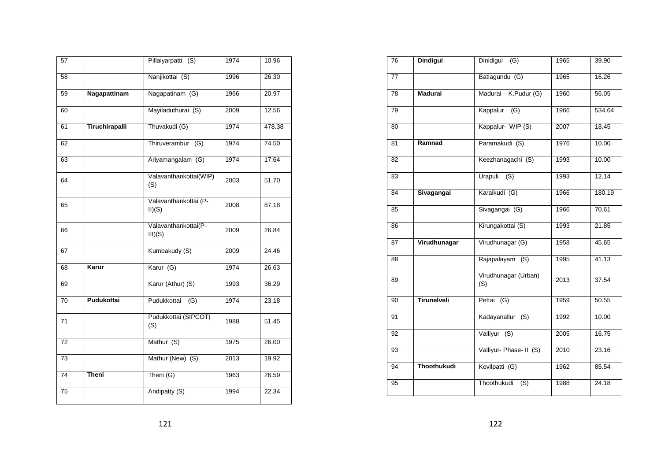| 57              |                       | Pillaiyarpatti (S)              | 1974 | 10.96  |
|-----------------|-----------------------|---------------------------------|------|--------|
| 58              |                       | Nanjikottai (S)                 | 1996 | 26.30  |
| 59              | Nagapattinam          | Nagapatinam (G)                 | 1966 | 20.97  |
| 60              |                       | Mayiladuthurai (S)              | 2009 | 12.56  |
| 61              | <b>Tiruchirapalli</b> | Thuvakudi (G)                   | 1974 | 478.38 |
| 62              |                       | Thiruverambur (G)               | 1974 | 74.50  |
| 63              |                       | Ariyamangalam (G)               | 1974 | 17.64  |
| 64              |                       | Valavanthankottai(WIP)<br>(S)   | 2003 | 51.70  |
| 65              |                       | Valavanthankottai (P-<br>II)(S) | 2008 | 87.18  |
| 66              |                       | Valavanthankottai(P-<br>III)(S) | 2009 | 26.84  |
| 67              |                       | Kumbakudy (S)                   | 2009 | 24.46  |
| 68              | Karur                 | Karur (G)                       | 1974 | 26.63  |
| 69              |                       | Karur (Athur) (S)               | 1993 | 36.29  |
| 70              | Pudukottai            | Pudukkottai<br>(G)              | 1974 | 23.18  |
| 71              |                       | Pudukkottai (SIPCOT)<br>(S)     | 1988 | 51.45  |
| 72              |                       | Mathur (S)                      | 1975 | 26.00  |
| 73              |                       | Mathur (New) (S)                | 2013 | 19.92  |
| 74              | <b>Theni</b>          | Theni (G)                       | 1963 | 26.59  |
| $\overline{75}$ |                       | Andipatty (S)                   | 1994 | 22.34  |

| $\overline{76}$ | <b>Dindigul</b>    | Dinidigul<br>$\overline{(G)}$ | 1965 | 39.90  |
|-----------------|--------------------|-------------------------------|------|--------|
| $\overline{77}$ |                    | Batlagundu (G)                | 1965 | 16.26  |
| 78              | <b>Madurai</b>     | Madurai - K.Pudur (G)         | 1960 | 56.05  |
| 79              |                    | Kappalur<br>(G)               | 1966 | 534.64 |
| $\overline{80}$ |                    | Kappalur- WIP (S)             | 2007 | 18.45  |
| 81              | Ramnad             | Paramakudi (S)                | 1976 | 10.00  |
| 82              |                    | Keezhanagachi (S)             | 1993 | 10.00  |
| 83              |                    | Urapuli<br>(S)                | 1993 | 12.14  |
| 84              | Sivagangai         | Karaikudi (G)                 | 1966 | 180.19 |
| 85              |                    | Sivagangai (G)                | 1966 | 70.61  |
| 86              |                    | Kirungakottai (S)             | 1993 | 21.85  |
| 87              | Virudhunagar       | Virudhunagar (G)              | 1958 | 45.65  |
| 88              |                    | Rajapalayam (S)               | 1995 | 41.13  |
| 89              |                    | Virudhunagar (Urban)<br>(S)   | 2013 | 37.54  |
| 90              | <b>Tirunelveli</b> | Pettai (G)                    | 1959 | 50.55  |
| 91              |                    | Kadayanallur (S)              | 1992 | 10.00  |
| 92              |                    | Valliyur (S)                  | 2005 | 16.75  |
| 93              |                    | Valliyur- Phase- II (S)       | 2010 | 23.16  |
| 94              | Thoothukudi        | Kovilpatti (G)                | 1962 | 85.54  |
| 95              |                    | Thoothukudi<br>(S)            | 1988 | 24.18  |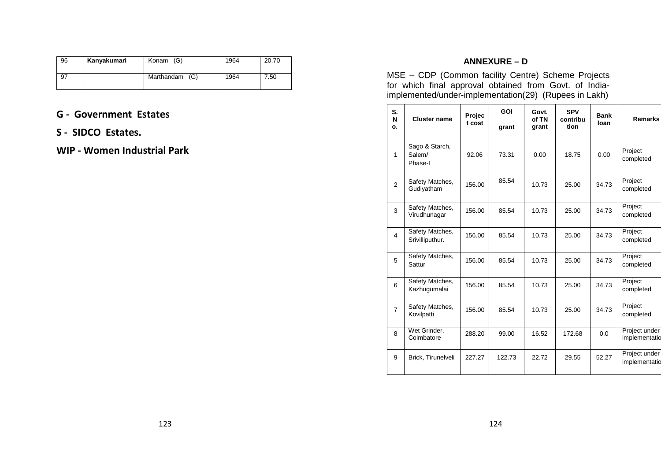| 96 | Kanyakumari | Konam (G)      | 1964 | 20.70 |
|----|-------------|----------------|------|-------|
| 97 |             | Marthandam (G) | 1964 | 7.50  |

# **G - Government Estates**

**S - SIDCO Estates.** 

# **WIP - Women Industrial Park**

# **ANNEXURE – D**

MSE – CDP (Common facility Centre) Scheme Projects for which final approval obtained from Govt. of Indiaimplemented/under-implementation(29) (Rupees in Lakh)

| S.<br>N<br>ο.  | <b>Cluster name</b>                 | Projec<br>t cost | GOI<br>grant | Govt.<br>of TN<br>grant | <b>SPV</b><br>contribu<br>tion | <b>Bank</b><br>loan | <b>Remarks</b>                 |
|----------------|-------------------------------------|------------------|--------------|-------------------------|--------------------------------|---------------------|--------------------------------|
| 1              | Sago & Starch,<br>Salem/<br>Phase-I | 92.06            | 73.31        | 0.00                    | 18.75                          | 0.00                | Project<br>completed           |
| $\overline{2}$ | Safety Matches,<br>Gudiyatham       | 156.00           | 85.54        | 10.73                   | 25.00                          | 34.73               | Project<br>completed           |
| 3              | Safety Matches,<br>Virudhunagar     | 156.00           | 85.54        | 10.73                   | 25.00                          | 34.73               | Project<br>completed           |
| 4              | Safety Matches,<br>Srivilliputhur.  | 156.00           | 85.54        | 10.73                   | 25.00                          | 34.73               | Project<br>completed           |
| 5              | Safety Matches,<br>Sattur           | 156.00           | 85.54        | 10.73                   | 25.00                          | 34.73               | Project<br>completed           |
| 6              | Safety Matches,<br>Kazhugumalai     | 156.00           | 85.54        | 10.73                   | 25.00                          | 34.73               | Project<br>completed           |
| $\overline{7}$ | Safety Matches,<br>Kovilpatti       | 156.00           | 85.54        | 10.73                   | 25.00                          | 34.73               | Project<br>completed           |
| 8              | Wet Grinder,<br>Coimbatore          | 288.20           | 99.00        | 16.52                   | 172.68                         | 0.0                 | Project under<br>implementatio |
| 9              | Brick, Tirunelveli                  | 227.27           | 122.73       | 22.72                   | 29.55                          | 52.27               | Project under<br>implementatio |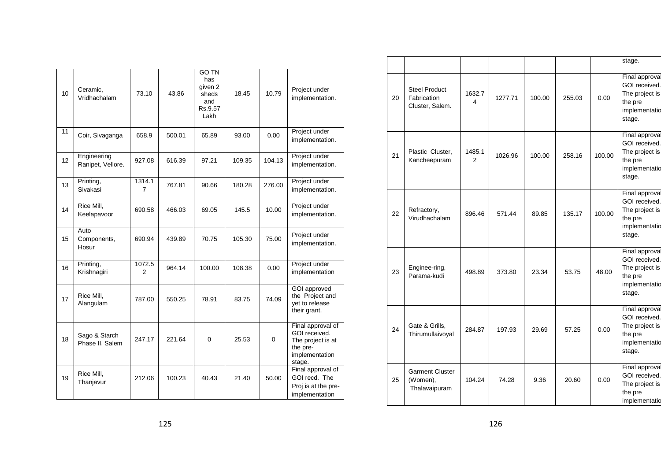| 10              | Ceramic,<br>Vridhachalam         | 73.10       | 43.86  | <b>GO TN</b><br>has<br>given 2<br>sheds<br>and<br>Rs.9.57<br>Lakh | 18.45  | 10.79    | Project under<br>implementation.                                                                |
|-----------------|----------------------------------|-------------|--------|-------------------------------------------------------------------|--------|----------|-------------------------------------------------------------------------------------------------|
| 11              | Coir, Sivaganga                  | 658.9       | 500.01 | 65.89                                                             | 93.00  | 0.00     | Project under<br>implementation.                                                                |
| 12 <sup>2</sup> | Engineering<br>Ranipet, Vellore. | 927.08      | 616.39 | 97.21                                                             | 109.35 | 104.13   | Project under<br>implementation.                                                                |
| 13              | Printing,<br>Sivakasi            | 1314.1<br>7 | 767.81 | 90.66                                                             | 180.28 | 276.00   | Project under<br>implementation.                                                                |
| 14              | Rice Mill,<br>Keelapavoor        | 690.58      | 466.03 | 69.05                                                             | 145.5  | 10.00    | Project under<br>implementation.                                                                |
| 15              | Auto<br>Components,<br>Hosur     | 690.94      | 439.89 | 70.75                                                             | 105.30 | 75.00    | Project under<br>implementation.                                                                |
| 16              | Printing,<br>Krishnagiri         | 1072.5<br>2 | 964.14 | 100.00                                                            | 108.38 | 0.00     | Project under<br>implementation                                                                 |
| 17              | Rice Mill,<br>Alangulam          | 787.00      | 550.25 | 78.91                                                             | 83.75  | 74.09    | GOI approved<br>the Project and<br>yet to release<br>their grant.                               |
| 18              | Sago & Starch<br>Phase II, Salem | 247.17      | 221.64 | $\Omega$                                                          | 25.53  | $\Omega$ | Final approval of<br>GOI received.<br>The project is at<br>the pre-<br>implementation<br>stage. |
| 19              | Rice Mill,<br>Thanjavur          | 212.06      | 100.23 | 40.43                                                             | 21.40  | 50.00    | Final approval of<br>GOI recd. The<br>Proj is at the pre-<br>implementation                     |
|                 |                                  |             |        |                                                                   |        |          |                                                                                                 |

|    |                                                        |             |         |        |        |        | stage.                                                                                         |
|----|--------------------------------------------------------|-------------|---------|--------|--------|--------|------------------------------------------------------------------------------------------------|
| 20 | <b>Steel Product</b><br>Fabrication<br>Cluster, Salem. | 1632.7<br>4 | 1277.71 | 100.00 | 255.03 | 0.00   | Final approval<br>GOI received.<br>The project is<br>the pre<br>implementatio<br>stage.        |
| 21 | Plastic Cluster,<br>Kancheepuram                       | 1485.1<br>2 | 1026.96 | 100.00 | 258.16 | 100.00 | Final approval<br>GOI received.<br>The project is<br>the pre<br>implementatio<br>stage.        |
| 22 | Refractory,<br>Virudhachalam                           | 896.46      | 571.44  | 89.85  | 135.17 | 100.00 | Final approval<br>GOI received.<br>The project is<br>the pre<br>implementatio<br>stage.        |
| 23 | Enginee-ring,<br>Parama-kudi                           | 498.89      | 373.80  | 23.34  | 53.75  | 48.00  | <b>Final approval</b><br>GOI received.<br>The project is<br>the pre<br>implementatio<br>stage. |
| 24 | Gate & Grills,<br>Thirumullaivoyal                     | 284.87      | 197.93  | 29.69  | 57.25  | 0.00   | <b>Final approval</b><br>GOI received.<br>The project is<br>the pre<br>implementatio<br>stage. |
| 25 | <b>Garment Cluster</b><br>(Women),<br>Thalavaipuram    | 104.24      | 74.28   | 9.36   | 20.60  | 0.00   | <b>Final approval</b><br>GOI received.<br>The project is<br>the pre<br>implementatio           |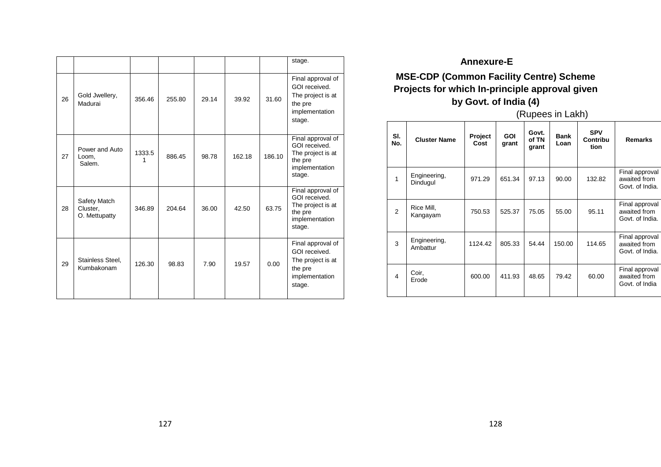|    |                                           |        |        |       |        |        | stage.                                                                                         |
|----|-------------------------------------------|--------|--------|-------|--------|--------|------------------------------------------------------------------------------------------------|
| 26 | Gold Jwellery,<br>Madurai                 | 356.46 | 255.80 | 29.14 | 39.92  | 31.60  | Final approval of<br>GOI received.<br>The project is at<br>the pre<br>implementation<br>stage. |
| 27 | Power and Auto<br>Loom,<br>Salem.         | 1333.5 | 886.45 | 98.78 | 162.18 | 186.10 | Final approval of<br>GOI received.<br>The project is at<br>the pre<br>implementation<br>stage. |
| 28 | Safety Match<br>Cluster,<br>O. Mettupatty | 346.89 | 204.64 | 36.00 | 42.50  | 63.75  | Final approval of<br>GOI received.<br>The project is at<br>the pre<br>implementation<br>stage. |
| 29 | Stainless Steel,<br>Kumbakonam            | 126.30 | 98.83  | 7.90  | 19.57  | 0.00   | Final approval of<br>GOI received.<br>The project is at<br>the pre<br>implementation<br>stage. |
|    |                                           |        |        |       |        |        |                                                                                                |

# **Annexure-E MSE-CDP (Common Facility Centre) Scheme Projects for which In-principle approval given by Govt. of India (4)**

(Rupees in Lakh)

| SI.<br>No.     | <b>Cluster Name</b>      | Project<br>Cost | <b>GOI</b><br>grant | Govt.<br>of TN<br>grant | <b>Bank</b><br>Loan | <b>SPV</b><br>Contribu<br>tion | <b>Remarks</b>                                    |
|----------------|--------------------------|-----------------|---------------------|-------------------------|---------------------|--------------------------------|---------------------------------------------------|
| 1              | Engineering,<br>Dindugul | 971.29          | 651.34              | 97.13                   | 90.00               | 132.82                         | Final approval<br>awaited from<br>Govt. of India. |
| $\overline{2}$ | Rice Mill,<br>Kangayam   | 750.53          | 525.37              | 75.05                   | 55.00               | 95.11                          | Final approval<br>awaited from<br>Govt. of India. |
| 3              | Engineering,<br>Ambattur | 1124.42         | 805.33              | 54.44                   | 150.00              | 114.65                         | Final approval<br>awaited from<br>Govt. of India. |
| 4              | Coir,<br>Erode           | 600.00          | 411.93              | 48.65                   | 79.42               | 60.00                          | Final approval<br>awaited from<br>Govt. of India  |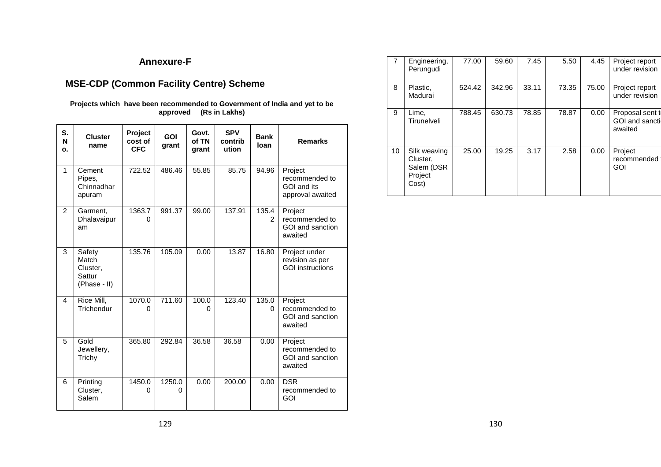# **Annexure-F**

# **MSE-CDP (Common Facility Centre) Scheme**

#### **Projects which have been recommended to Government of India and yet to be approved (Rs in Lakhs)**

| S.<br>N<br>o.  | <b>Cluster</b><br>name                                | Project<br>cost of<br><b>CFC</b> | <b>GOI</b><br>grant | Govt.<br>of TN<br>grant | <b>SPV</b><br>contrib<br>ution | <b>Bank</b><br>loan     | <b>Remarks</b>                                               |
|----------------|-------------------------------------------------------|----------------------------------|---------------------|-------------------------|--------------------------------|-------------------------|--------------------------------------------------------------|
| $\mathbf{1}$   | Cement<br>Pipes,<br>Chinnadhar<br>apuram              | 722.52                           | 486.46              | 55.85                   | 85.75                          | 94.96                   | Project<br>recommended to<br>GOI and its<br>approval awaited |
| $\overline{2}$ | Garment,<br>Dhalavaipur<br>am                         | 1363.7<br>0                      | 991.37              | 99.00                   | 137.91                         | 135.4<br>$\mathfrak{p}$ | Project<br>recommended to<br>GOI and sanction<br>awaited     |
| 3              | Safety<br>Match<br>Cluster,<br>Sattur<br>(Phase - II) | 135.76                           | 105.09              | 0.00                    | 13.87                          | 16.80                   | Project under<br>revision as per<br><b>GOI</b> instructions  |
| 4              | Rice Mill,<br>Trichendur                              | 1070.0<br>0                      | 711.60              | 100.0<br>O              | 123.40                         | 135.0<br>0              | Project<br>recommended to<br>GOI and sanction<br>awaited     |
| 5              | Gold<br>Jewellery,<br>Trichy                          | 365.80                           | 292.84              | 36.58                   | 36.58                          | 0.00                    | Project<br>recommended to<br>GOI and sanction<br>awaited     |
| 6              | Printing<br>Cluster,<br>Salem                         | 1450.0<br>0                      | 1250.0<br>0         | 0.00                    | 200.00                         | 0.00                    | <b>DSR</b><br>recommended to<br>GOI                          |

|    | Engineering,<br>Perungudi                                  | 77.00  | 59.60  | 7.45  | 5.50  | 4.45  | Project report<br>under revision                       |
|----|------------------------------------------------------------|--------|--------|-------|-------|-------|--------------------------------------------------------|
| 8  | Plastic,<br>Madurai                                        | 524.42 | 342.96 | 33.11 | 73.35 | 75.00 | Project report<br>under revision                       |
| 9  | Lime,<br>Tirunelveli                                       | 788.45 | 630.73 | 78.85 | 78.87 | 0.00  | Proposal sent to<br><b>GOI</b> and sanction<br>awaited |
| 10 | Silk weaving<br>Cluster,<br>Salem (DSR<br>Project<br>Cost) | 25.00  | 19.25  | 3.17  | 2.58  | 0.00  | Project<br>recommended<br>GOI                          |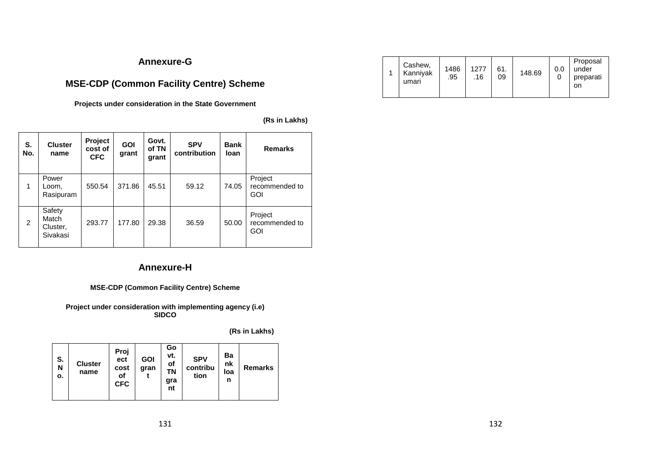# **Annexure-G**

# **MSE-CDP (Common Facility Centre) Scheme**

**Projects under consideration in the State Government** 

**(Rs in Lakhs)** 

| S.<br>No. | <b>Cluster</b><br>name                  | Project<br>cost of<br><b>CFC</b> | <b>GOI</b><br>grant | Govt.<br>of TN<br>grant | <b>SPV</b><br>contribution | <b>Bank</b><br>loan | <b>Remarks</b>                          |
|-----------|-----------------------------------------|----------------------------------|---------------------|-------------------------|----------------------------|---------------------|-----------------------------------------|
| 1         | Power<br>Loom.<br>Rasipuram             | 550.54                           | 371.86              | 45.51                   | 59.12                      | 74.05               | Project<br>recommended to<br><b>GOI</b> |
| 2         | Safety<br>Match<br>Cluster,<br>Sivakasi | 293.77                           | 177.80              | 29.38                   | 36.59                      | 50.00               | Project<br>recommended to<br><b>GOI</b> |

# **Annexure-H**

#### **MSE-CDP (Common Facility Centre) Scheme**

**Project under consideration with implementing agency (i.e) SIDCO** 

**(Rs in Lakhs)** 

| S.<br>N<br>о. | <b>Cluster</b><br>name | Proj<br>ect<br>cost<br>of<br><b>CFC</b> | <b>GOI</b><br>gran | Go<br>vt.<br>οf<br>ΤN<br>gra<br>nt | <b>SPV</b><br>contribu<br>tion | Ba<br>nk<br>loa<br>n | <b>Remarks</b> |
|---------------|------------------------|-----------------------------------------|--------------------|------------------------------------|--------------------------------|----------------------|----------------|
|---------------|------------------------|-----------------------------------------|--------------------|------------------------------------|--------------------------------|----------------------|----------------|

|  | Cashew,<br>Kanniyak<br>umari | 1486<br>.95 | 1277<br>.16 | 61.<br>09 | 148.69 |  | Proposal<br>under<br>preparati<br>on |  |
|--|------------------------------|-------------|-------------|-----------|--------|--|--------------------------------------|--|
|--|------------------------------|-------------|-------------|-----------|--------|--|--------------------------------------|--|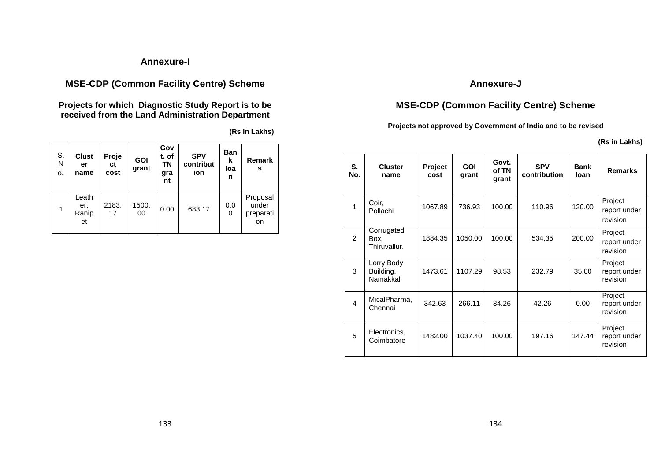# **Annexure-I**

# **MSE-CDP (Common Facility Centre) Scheme**

**Projects for which Diagnostic Study Report is to be received from the Land Administration Department** 

**(Rs in Lakhs)**

| S.<br>N<br>$\mathbf{o}$ . | <b>Clust</b><br>er<br>name  | Proje<br>ct<br>cost | <b>GOI</b><br>grant | Gov<br>t. of<br>ΤN<br>gra<br>nt | <b>SPV</b><br>contribut<br>ion | <b>Ban</b><br>k<br>loa<br>n | Remark<br>s                          |
|---------------------------|-----------------------------|---------------------|---------------------|---------------------------------|--------------------------------|-----------------------------|--------------------------------------|
|                           | Leath<br>er,<br>Ranip<br>et | 2183.<br>17         | 1500.<br>00         | 0.00                            | 683.17                         | 0.0<br>0                    | Proposal<br>under<br>preparati<br>on |

# **Annexure-J**

# **MSE-CDP (Common Facility Centre) Scheme**

**Projects not approved by Government of India and to be revised** 

**(Rs in Lakhs)** 

| S.<br>No.               | <b>Cluster</b><br>name              | Project<br>cost | <b>GOI</b><br>grant | Govt.<br>of TN<br>grant | <b>SPV</b><br>contribution | <b>Bank</b><br>loan | <b>Remarks</b>                      |
|-------------------------|-------------------------------------|-----------------|---------------------|-------------------------|----------------------------|---------------------|-------------------------------------|
| 1                       | Coir.<br>Pollachi                   | 1067.89         | 736.93              | 100.00                  | 110.96                     | 120.00              | Project<br>report under<br>revision |
| $\mathcal{P}$           | Corrugated<br>Box.<br>Thiruvallur.  | 1884.35         | 1050.00             | 100.00                  | 534.35                     | 200.00              | Project<br>report under<br>revision |
| 3                       | Lorry Body<br>Building,<br>Namakkal | 1473.61         | 1107.29             | 98.53                   | 232.79                     | 35.00               | Project<br>report under<br>revision |
| $\overline{\mathbf{A}}$ | MicalPharma,<br>Chennai             | 342.63          | 266.11              | 34.26                   | 42.26                      | 0.00                | Project<br>report under<br>revision |
| 5                       | Electronics,<br>Coimbatore          | 1482.00         | 1037.40             | 100.00                  | 197.16                     | 147.44              | Project<br>report under<br>revision |